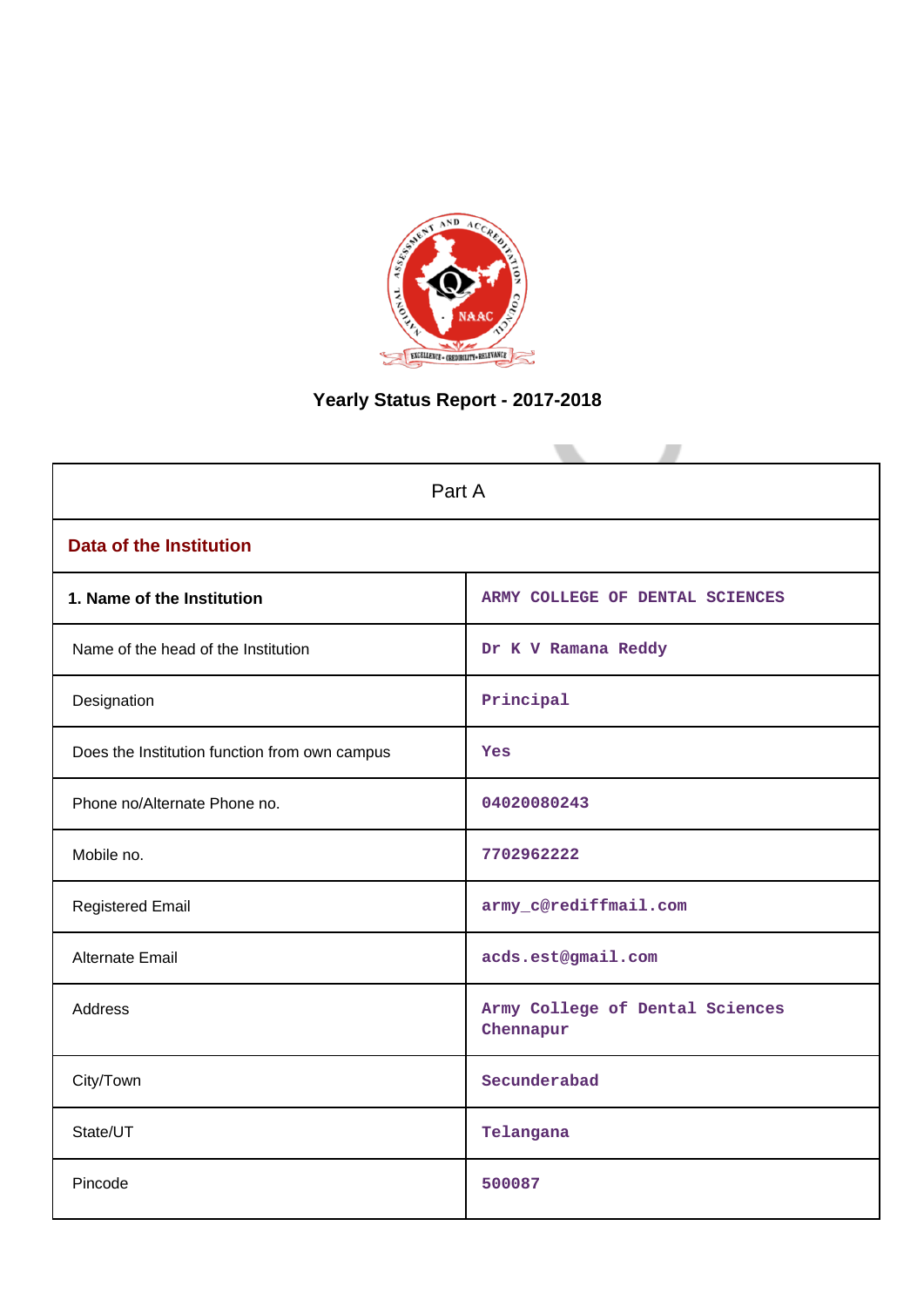

# **Yearly Status Report - 2017-2018**

| Part A                                        |                                              |
|-----------------------------------------------|----------------------------------------------|
| <b>Data of the Institution</b>                |                                              |
| 1. Name of the Institution                    | ARMY COLLEGE OF DENTAL SCIENCES              |
| Name of the head of the Institution           | Dr K V Ramana Reddy                          |
| Designation                                   | Principal                                    |
| Does the Institution function from own campus | Yes                                          |
| Phone no/Alternate Phone no.                  | 04020080243                                  |
| Mobile no.                                    | 7702962222                                   |
| <b>Registered Email</b>                       | army_c@rediffmail.com                        |
| Alternate Email                               | acds.est@gmail.com                           |
| Address                                       | Army College of Dental Sciences<br>Chennapur |
| City/Town                                     | Secunderabad                                 |
| State/UT                                      | Telangana                                    |
| Pincode                                       | 500087                                       |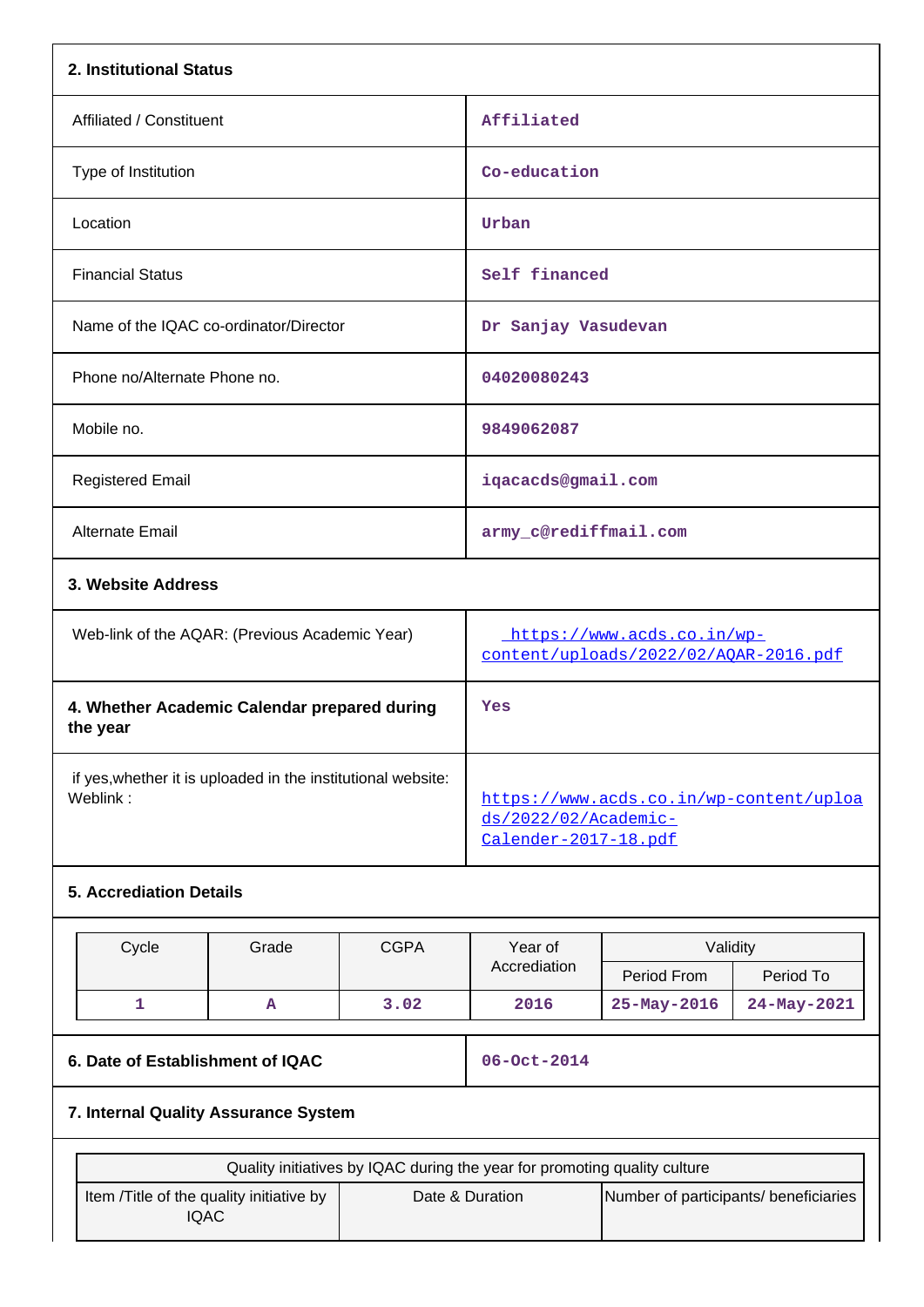| 2. Institutional Status                                                  |                                                                           |                                       |                                                                                         |                         |             |  |  |
|--------------------------------------------------------------------------|---------------------------------------------------------------------------|---------------------------------------|-----------------------------------------------------------------------------------------|-------------------------|-------------|--|--|
| Affiliated / Constituent                                                 |                                                                           |                                       | Affiliated                                                                              |                         |             |  |  |
| Type of Institution                                                      |                                                                           |                                       | Co-education                                                                            |                         |             |  |  |
| Location                                                                 |                                                                           |                                       | Urban                                                                                   |                         |             |  |  |
| <b>Financial Status</b>                                                  |                                                                           |                                       | Self financed                                                                           |                         |             |  |  |
| Name of the IQAC co-ordinator/Director                                   |                                                                           |                                       | Dr Sanjay Vasudevan                                                                     |                         |             |  |  |
| Phone no/Alternate Phone no.                                             |                                                                           |                                       | 04020080243                                                                             |                         |             |  |  |
| Mobile no.                                                               |                                                                           |                                       | 9849062087                                                                              |                         |             |  |  |
| <b>Registered Email</b>                                                  |                                                                           |                                       | iqacacds@gmail.com                                                                      |                         |             |  |  |
| Alternate Email                                                          |                                                                           |                                       | army_c@rediffmail.com                                                                   |                         |             |  |  |
|                                                                          | 3. Website Address                                                        |                                       |                                                                                         |                         |             |  |  |
| Web-link of the AQAR: (Previous Academic Year)                           |                                                                           |                                       | https://www.acds.co.in/wp-<br>content/uploads/2022/02/AOAR-2016.pdf                     |                         |             |  |  |
| 4. Whether Academic Calendar prepared during<br>the year                 |                                                                           |                                       | Yes                                                                                     |                         |             |  |  |
| if yes, whether it is uploaded in the institutional website:<br>Weblink: |                                                                           |                                       | https://www.acds.co.in/wp-content/uploa<br>ds/2022/02/Academic-<br>Calender-2017-18.pdf |                         |             |  |  |
| <b>5. Accrediation Details</b>                                           |                                                                           |                                       |                                                                                         |                         |             |  |  |
| Cycle                                                                    | Grade                                                                     | <b>CGPA</b>                           | Year of<br>Accrediation                                                                 | Validity<br>Period From | Period To   |  |  |
| 1                                                                        | A                                                                         | 3.02                                  | 2016                                                                                    | 25-May-2016             | 24-May-2021 |  |  |
| 6. Date of Establishment of IQAC<br>7. Internal Quality Assurance System |                                                                           |                                       | 06-Oct-2014                                                                             |                         |             |  |  |
|                                                                          |                                                                           |                                       |                                                                                         |                         |             |  |  |
| Item /Title of the quality initiative by                                 | Quality initiatives by IQAC during the year for promoting quality culture | Number of participants/ beneficiaries |                                                                                         |                         |             |  |  |

IQAC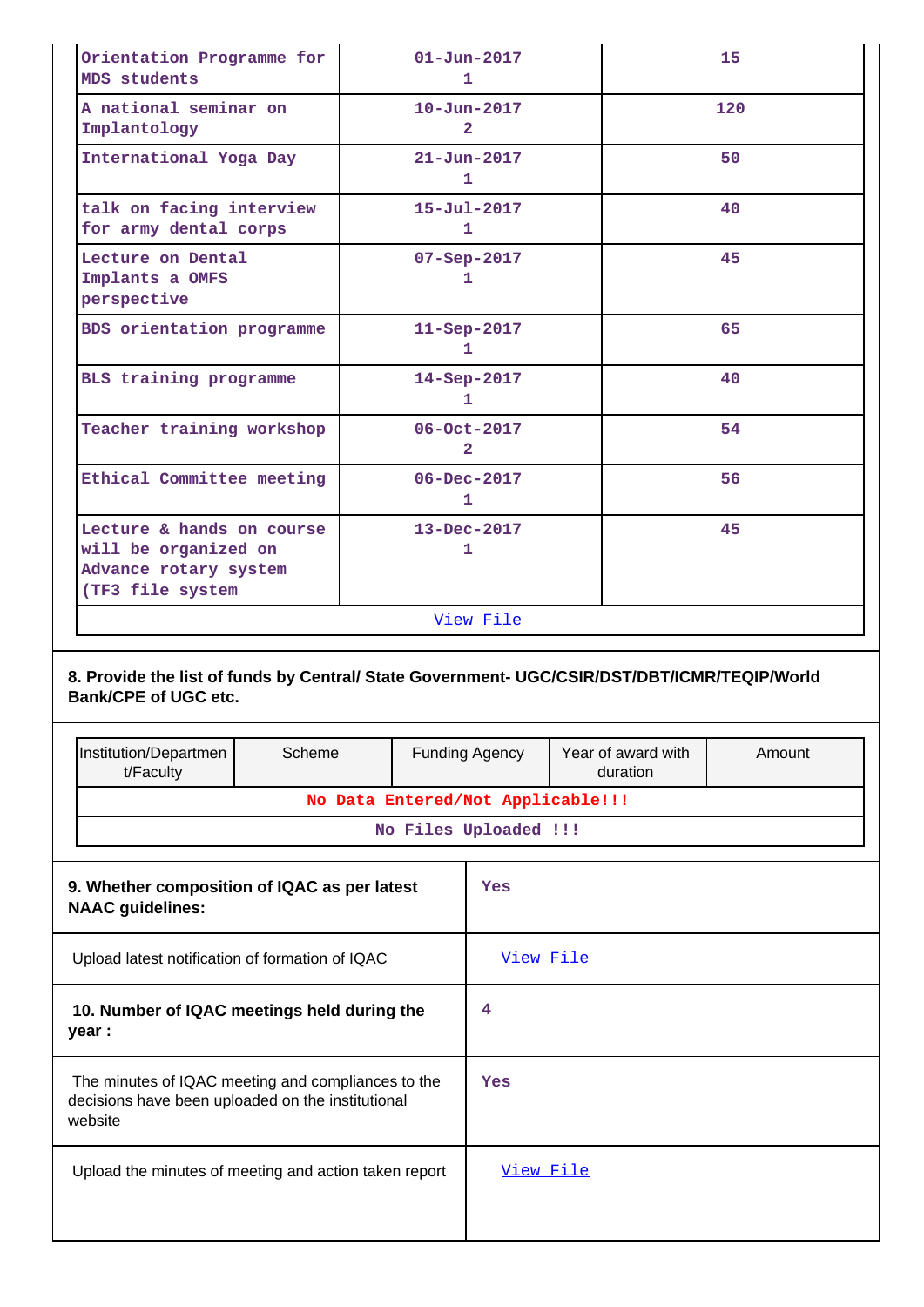| Orientation Programme for<br>MDS students                                                                                                                         |        |                                   | $01 - Jun - 2017$<br>1              |                                | 15     |  |
|-------------------------------------------------------------------------------------------------------------------------------------------------------------------|--------|-----------------------------------|-------------------------------------|--------------------------------|--------|--|
| A national seminar on<br>Implantology                                                                                                                             |        |                                   | $10 - Jun - 2017$<br>$\overline{2}$ |                                | 120    |  |
| International Yoga Day                                                                                                                                            |        |                                   | $21 - Jun - 2017$<br>1              |                                | 50     |  |
| talk on facing interview<br>for army dental corps                                                                                                                 |        |                                   | $15 - Ju1 - 2017$<br>1.             |                                | 40     |  |
| Lecture on Dental<br>Implants a OMFS<br>perspective                                                                                                               |        |                                   | $07 - Sep - 2017$<br>1              |                                | 45     |  |
| BDS orientation programme                                                                                                                                         |        |                                   | 11-Sep-2017<br>1                    |                                | 65     |  |
| BLS training programme                                                                                                                                            |        |                                   | 14-Sep-2017<br>1.                   |                                | 40     |  |
| Teacher training workshop                                                                                                                                         |        |                                   | 06-Oct-2017<br>$\overline{2}$       |                                | 54     |  |
| Ethical Committee meeting                                                                                                                                         |        |                                   | $06 - Dec - 2017$<br>1              |                                | 56     |  |
| Lecture & hands on course<br>will be organized on<br>Advance rotary system<br>(TF3 file system                                                                    |        |                                   | $13 - Dec - 2017$<br>1              |                                | 45     |  |
|                                                                                                                                                                   |        |                                   | <u>View File</u>                    |                                |        |  |
| 8. Provide the list of funds by Central/ State Government- UGC/CSIR/DST/DBT/ICMR/TEQIP/World<br><b>Bank/CPE of UGC etc.</b><br>Institution/Departmen<br>t/Faculty | Scheme |                                   | <b>Funding Agency</b>               | Year of award with<br>duration | Amount |  |
|                                                                                                                                                                   |        | No Data Entered/Not Applicable!!! |                                     |                                |        |  |
|                                                                                                                                                                   |        |                                   | No Files Uploaded !!!               |                                |        |  |
| 9. Whether composition of IQAC as per latest<br><b>NAAC</b> guidelines:                                                                                           |        |                                   |                                     |                                |        |  |
|                                                                                                                                                                   |        |                                   | Yes                                 |                                |        |  |
| Upload latest notification of formation of IQAC                                                                                                                   |        |                                   | View File                           |                                |        |  |
| 10. Number of IQAC meetings held during the<br>year :                                                                                                             |        |                                   | 4                                   |                                |        |  |
| The minutes of IQAC meeting and compliances to the<br>decisions have been uploaded on the institutional<br>website                                                |        |                                   | Yes                                 |                                |        |  |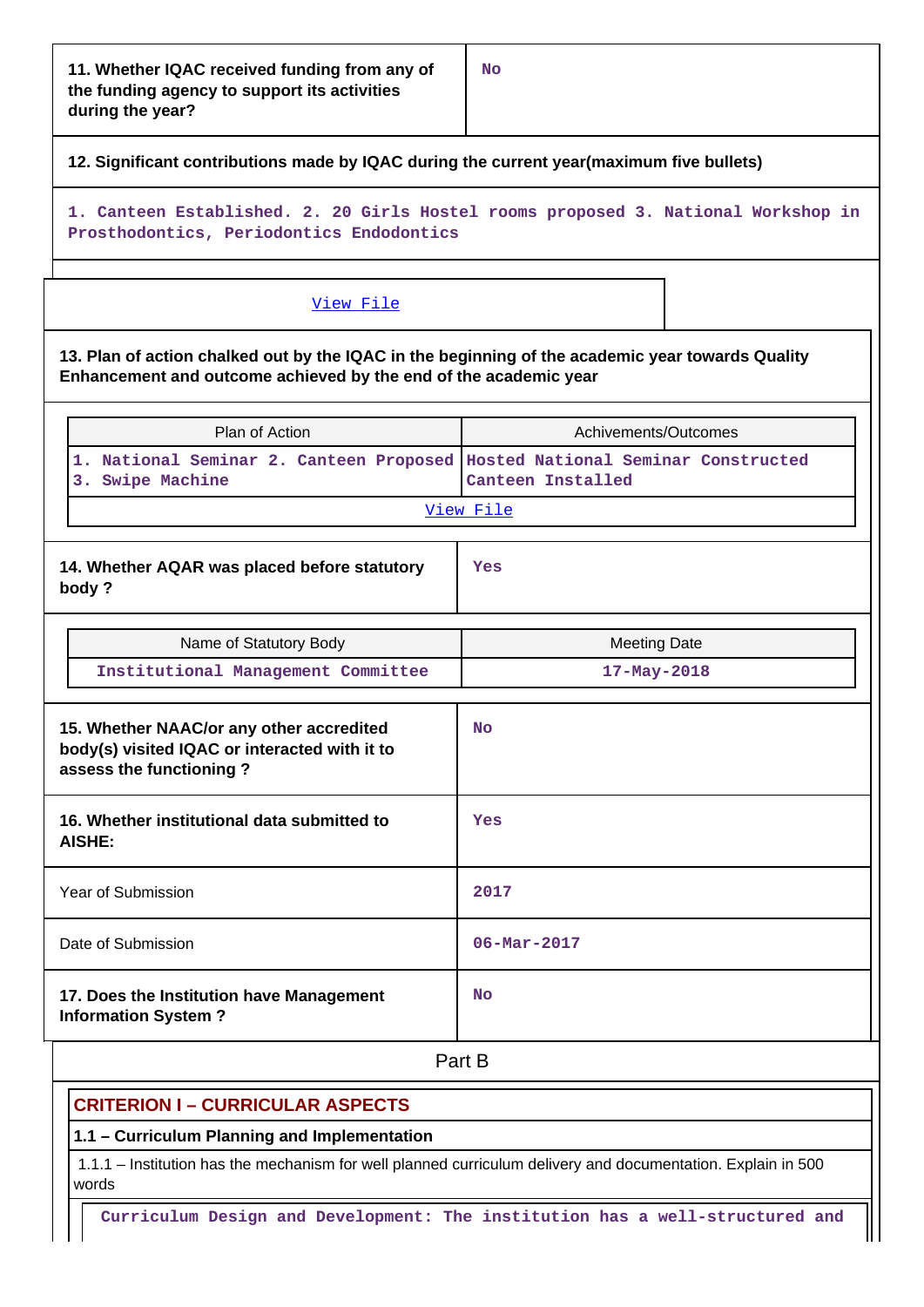## **12. Significant contributions made by IQAC during the current year(maximum five bullets)**

**1. Canteen Established. 2. 20 Girls Hostel rooms proposed 3. National Workshop in Prosthodontics, Periodontics Endodontics**

#### [View File](https://assessmentonline.naac.gov.in/public/Postacc/Contribution/19557_Contribution.xlsx)

**13. Plan of action chalked out by the IQAC in the beginning of the academic year towards Quality Enhancement and outcome achieved by the end of the academic year**

|                                                                                                                      | Plan of Action                                                                                  | Achivements/Outcomes     |  |  |  |  |
|----------------------------------------------------------------------------------------------------------------------|-------------------------------------------------------------------------------------------------|--------------------------|--|--|--|--|
|                                                                                                                      | 1. National Seminar 2. Canteen Proposed Hosted National Seminar Constructed<br>3. Swipe Machine | Canteen Installed        |  |  |  |  |
|                                                                                                                      |                                                                                                 | View File                |  |  |  |  |
|                                                                                                                      | 14. Whether AQAR was placed before statutory<br>body?                                           | Yes                      |  |  |  |  |
|                                                                                                                      | Name of Statutory Body                                                                          | <b>Meeting Date</b>      |  |  |  |  |
|                                                                                                                      | Institutional Management Committee                                                              | $17 - May - 2018$        |  |  |  |  |
| 15. Whether NAAC/or any other accredited<br>body(s) visited IQAC or interacted with it to<br>assess the functioning? |                                                                                                 | <b>No</b>                |  |  |  |  |
|                                                                                                                      | 16. Whether institutional data submitted to<br><b>AISHE:</b>                                    | Yes                      |  |  |  |  |
|                                                                                                                      | <b>Year of Submission</b>                                                                       | 2017                     |  |  |  |  |
|                                                                                                                      | Date of Submission                                                                              | $06 - \text{Mar} - 2017$ |  |  |  |  |
|                                                                                                                      | 17. Does the Institution have Management<br><b>Information System?</b>                          | <b>No</b>                |  |  |  |  |

**Part B** 

## **CRITERION I – CURRICULAR ASPECTS**

## **1.1 – Curriculum Planning and Implementation**

 1.1.1 – Institution has the mechanism for well planned curriculum delivery and documentation. Explain in 500 words

**Curriculum Design and Development: The institution has a well-structured and**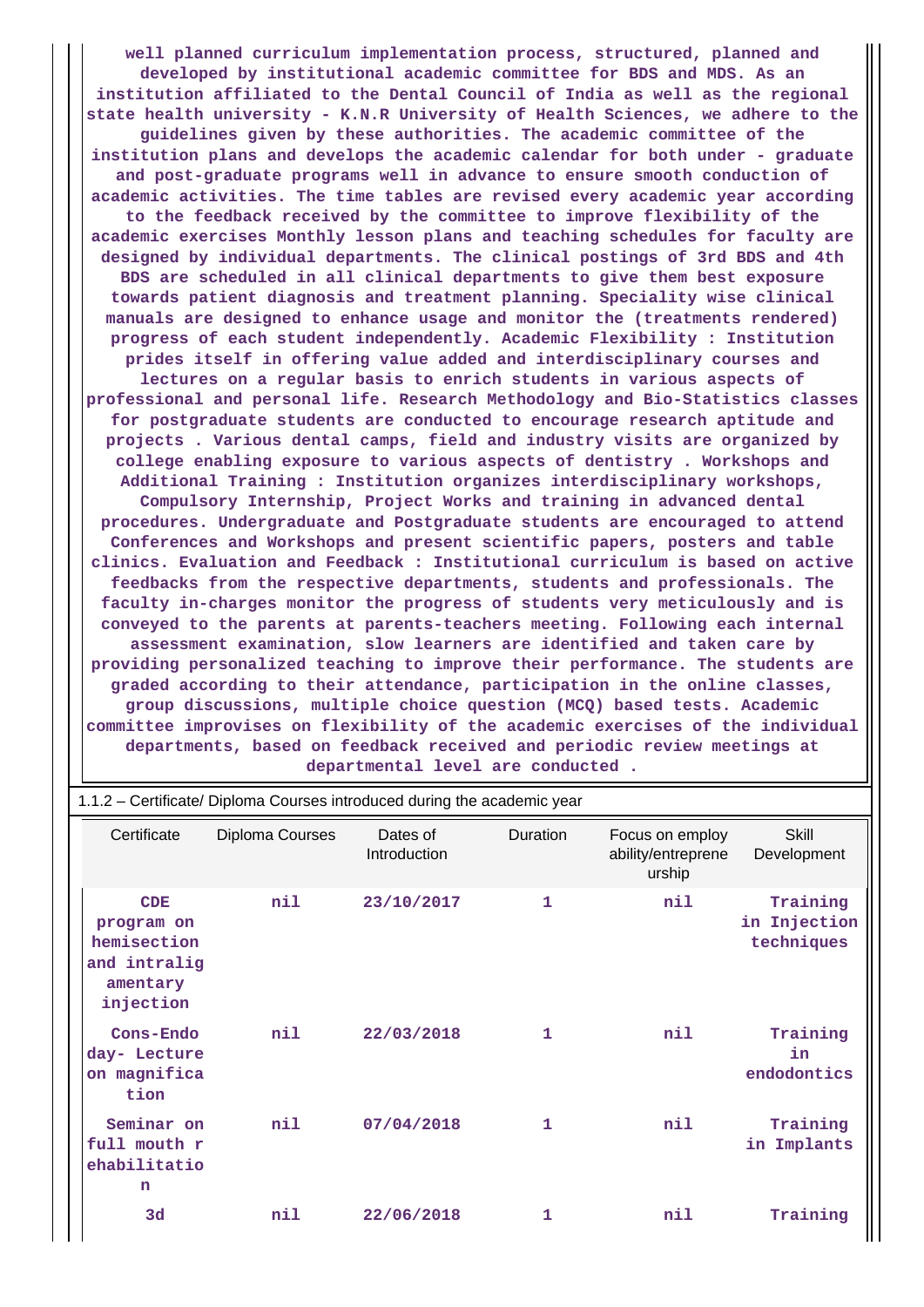**well planned curriculum implementation process, structured, planned and developed by institutional academic committee for BDS and MDS. As an institution affiliated to the Dental Council of India as well as the regional state health university - K.N.R University of Health Sciences, we adhere to the guidelines given by these authorities. The academic committee of the institution plans and develops the academic calendar for both under - graduate and post-graduate programs well in advance to ensure smooth conduction of academic activities. The time tables are revised every academic year according to the feedback received by the committee to improve flexibility of the academic exercises Monthly lesson plans and teaching schedules for faculty are designed by individual departments. The clinical postings of 3rd BDS and 4th BDS are scheduled in all clinical departments to give them best exposure towards patient diagnosis and treatment planning. Speciality wise clinical manuals are designed to enhance usage and monitor the (treatments rendered) progress of each student independently. Academic Flexibility : Institution prides itself in offering value added and interdisciplinary courses and lectures on a regular basis to enrich students in various aspects of professional and personal life. Research Methodology and Bio-Statistics classes for postgraduate students are conducted to encourage research aptitude and projects . Various dental camps, field and industry visits are organized by college enabling exposure to various aspects of dentistry . Workshops and Additional Training : Institution organizes interdisciplinary workshops, Compulsory Internship, Project Works and training in advanced dental procedures. Undergraduate and Postgraduate students are encouraged to attend Conferences and Workshops and present scientific papers, posters and table clinics. Evaluation and Feedback : Institutional curriculum is based on active feedbacks from the respective departments, students and professionals. The faculty in-charges monitor the progress of students very meticulously and is conveyed to the parents at parents-teachers meeting. Following each internal assessment examination, slow learners are identified and taken care by providing personalized teaching to improve their performance. The students are graded according to their attendance, participation in the online classes, group discussions, multiple choice question (MCQ) based tests. Academic committee improvises on flexibility of the academic exercises of the individual departments, based on feedback received and periodic review meetings at departmental level are conducted .**

|                                                                                  | 1.1.2 – Certificate/ Diploma Courses introduced during the academic year |                          |              |                                                 |                                        |
|----------------------------------------------------------------------------------|--------------------------------------------------------------------------|--------------------------|--------------|-------------------------------------------------|----------------------------------------|
| Certificate                                                                      | Diploma Courses                                                          | Dates of<br>Introduction | Duration     | Focus on employ<br>ability/entreprene<br>urship | Skill<br>Development                   |
| <b>CDE</b><br>program on<br>hemisection<br>and intralig<br>amentary<br>injection | nil                                                                      | 23/10/2017               | $\mathbf{1}$ | nil                                             | Training<br>in Injection<br>techniques |
| Cons-Endo<br>day- Lecture<br>on magnifica<br>tion                                | nil                                                                      | 22/03/2018               | 1            | nil                                             | Training<br>in<br>endodontics          |
| Seminar on<br>full mouth r<br>ehabilitatio<br>n                                  | nil                                                                      | 07/04/2018               | 1            | nil                                             | Training<br>Implants<br>in             |
| 3d                                                                               | nil                                                                      | 22/06/2018               | 1            | nil                                             | Training                               |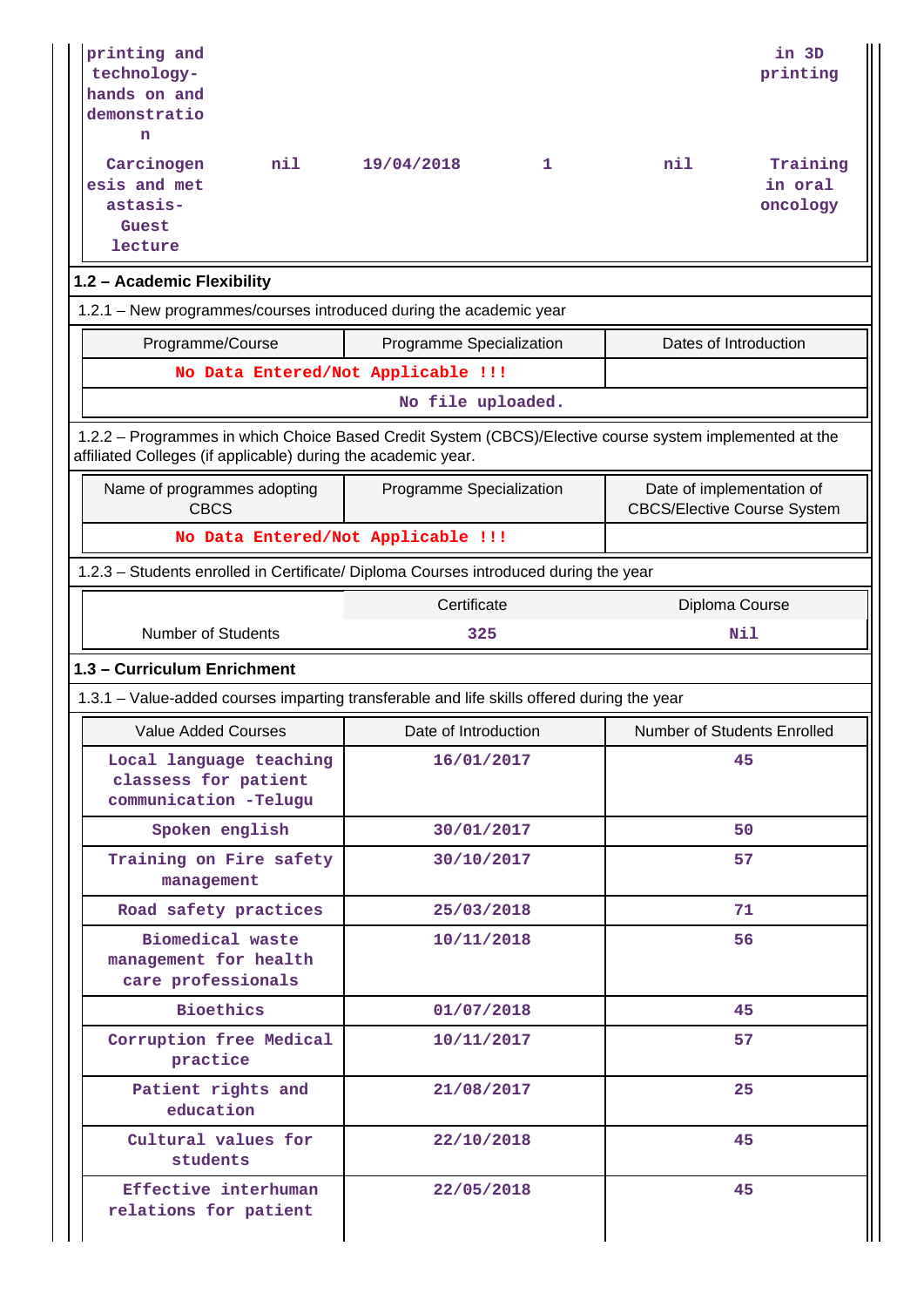| printing and<br>technology-<br>hands on and<br>demonstratio<br>n<br>Carcinogen<br>nil<br>esis and met                                                                    | 19/04/2018                         | 1 | nil                                                             | in 3D<br>printing<br>Training<br>in oral |
|--------------------------------------------------------------------------------------------------------------------------------------------------------------------------|------------------------------------|---|-----------------------------------------------------------------|------------------------------------------|
| astasis-<br>Guest<br>lecture                                                                                                                                             |                                    |   |                                                                 | oncology                                 |
| 1.2 - Academic Flexibility                                                                                                                                               |                                    |   |                                                                 |                                          |
| 1.2.1 - New programmes/courses introduced during the academic year                                                                                                       |                                    |   |                                                                 |                                          |
| Programme/Course                                                                                                                                                         | Programme Specialization           |   | Dates of Introduction                                           |                                          |
|                                                                                                                                                                          | No Data Entered/Not Applicable !!! |   |                                                                 |                                          |
|                                                                                                                                                                          | No file uploaded.                  |   |                                                                 |                                          |
| 1.2.2 - Programmes in which Choice Based Credit System (CBCS)/Elective course system implemented at the<br>affiliated Colleges (if applicable) during the academic year. |                                    |   |                                                                 |                                          |
| Name of programmes adopting<br><b>CBCS</b>                                                                                                                               | Programme Specialization           |   | Date of implementation of<br><b>CBCS/Elective Course System</b> |                                          |
|                                                                                                                                                                          | No Data Entered/Not Applicable !!! |   |                                                                 |                                          |
| 1.2.3 - Students enrolled in Certificate/ Diploma Courses introduced during the year                                                                                     |                                    |   |                                                                 |                                          |
|                                                                                                                                                                          | Certificate                        |   | Diploma Course                                                  |                                          |
| <b>Number of Students</b>                                                                                                                                                | 325                                |   | Nil                                                             |                                          |
| 1.3 - Curriculum Enrichment                                                                                                                                              |                                    |   |                                                                 |                                          |
| 1.3.1 – Value-added courses imparting transferable and life skills offered during the year                                                                               |                                    |   |                                                                 |                                          |
| <b>Value Added Courses</b>                                                                                                                                               | Date of Introduction               |   | <b>Number of Students Enrolled</b>                              |                                          |
| Local language teaching<br>classess for patient<br>communication -Telugu                                                                                                 | 16/01/2017                         |   |                                                                 | 45                                       |
| Spoken english                                                                                                                                                           | 30/01/2017                         |   |                                                                 | 50                                       |
| Training on Fire safety<br>management                                                                                                                                    | 30/10/2017                         |   |                                                                 | 57                                       |
| Road safety practices                                                                                                                                                    | 25/03/2018                         |   |                                                                 | 71                                       |
| Biomedical waste<br>management for health<br>care professionals                                                                                                          | 10/11/2018                         |   |                                                                 | 56                                       |
| <b>Bioethics</b>                                                                                                                                                         | 01/07/2018                         |   |                                                                 | 45                                       |
| Corruption free Medical<br>practice                                                                                                                                      | 10/11/2017                         |   |                                                                 | 57                                       |
| Patient rights and<br>education                                                                                                                                          | 21/08/2017                         |   |                                                                 | 25                                       |
| Cultural values for<br>students                                                                                                                                          | 22/10/2018                         |   |                                                                 | 45                                       |
| Effective interhuman<br>relations for patient                                                                                                                            | 22/05/2018                         |   |                                                                 | 45                                       |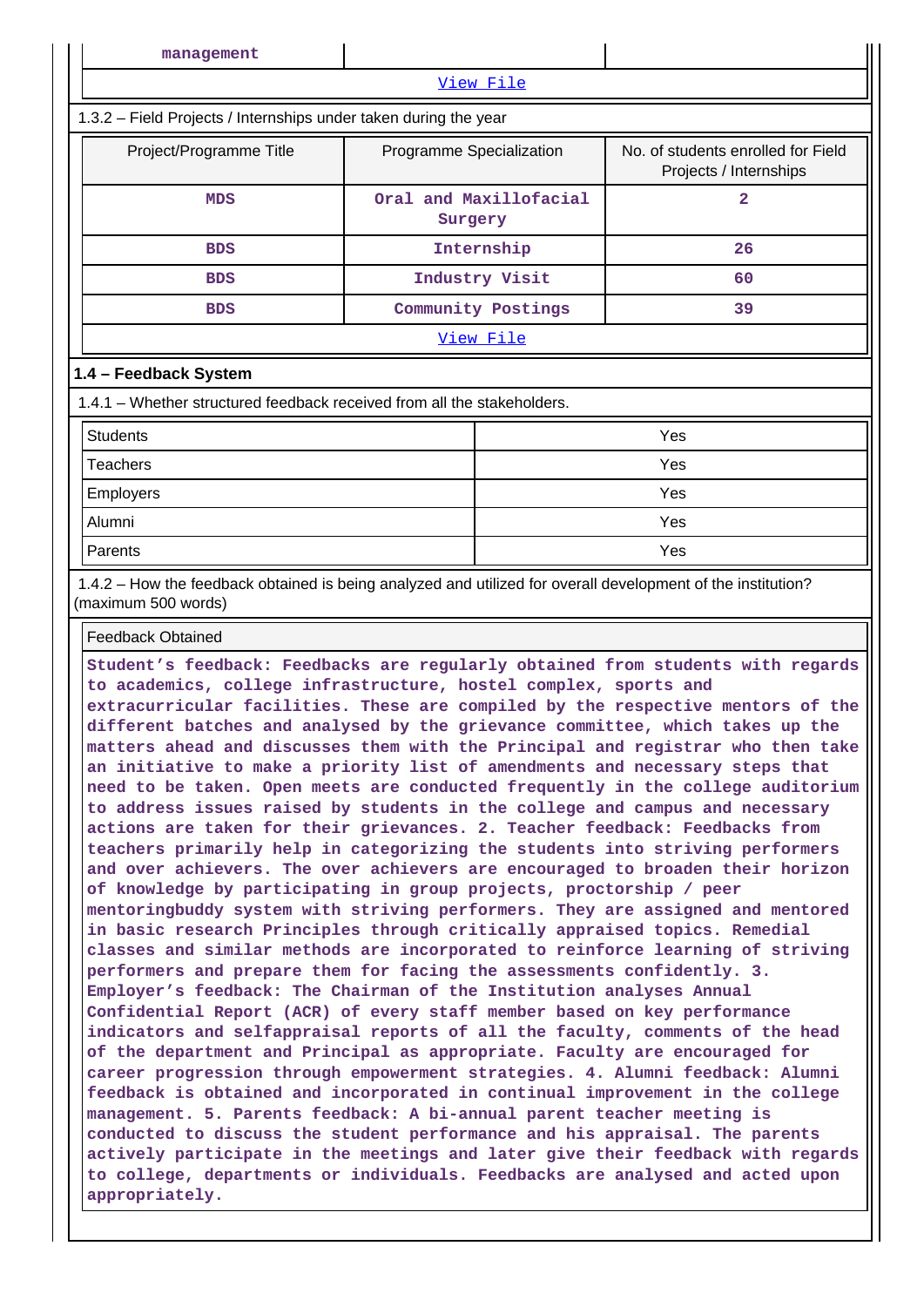| management                                                                                                                          |                                   |            |                                                              |  |  |  |  |  |  |
|-------------------------------------------------------------------------------------------------------------------------------------|-----------------------------------|------------|--------------------------------------------------------------|--|--|--|--|--|--|
| View File                                                                                                                           |                                   |            |                                                              |  |  |  |  |  |  |
| 1.3.2 - Field Projects / Internships under taken during the year                                                                    |                                   |            |                                                              |  |  |  |  |  |  |
| Project/Programme Title                                                                                                             | Programme Specialization          |            | No. of students enrolled for Field<br>Projects / Internships |  |  |  |  |  |  |
| <b>MDS</b>                                                                                                                          | Oral and Maxillofacial<br>Surgery |            | $\overline{a}$                                               |  |  |  |  |  |  |
| <b>BDS</b>                                                                                                                          |                                   | Internship | 26                                                           |  |  |  |  |  |  |
| <b>BDS</b>                                                                                                                          | Industry Visit                    |            | 60                                                           |  |  |  |  |  |  |
| <b>BDS</b>                                                                                                                          | Community Postings                |            | 39                                                           |  |  |  |  |  |  |
|                                                                                                                                     |                                   | View File  |                                                              |  |  |  |  |  |  |
| 1.4 - Feedback System                                                                                                               |                                   |            |                                                              |  |  |  |  |  |  |
| 1.4.1 - Whether structured feedback received from all the stakeholders.                                                             |                                   |            |                                                              |  |  |  |  |  |  |
| <b>Students</b>                                                                                                                     |                                   |            | Yes                                                          |  |  |  |  |  |  |
| <b>Teachers</b>                                                                                                                     |                                   | Yes        |                                                              |  |  |  |  |  |  |
| Employers                                                                                                                           |                                   | Yes        |                                                              |  |  |  |  |  |  |
| Alumni                                                                                                                              |                                   |            | Yes                                                          |  |  |  |  |  |  |
| Parents                                                                                                                             |                                   |            | Yes                                                          |  |  |  |  |  |  |
| 1.4.2 - How the feedback obtained is being analyzed and utilized for overall development of the institution?<br>(maximum 500 words) |                                   |            |                                                              |  |  |  |  |  |  |
| <b>Feedback Obtained</b>                                                                                                            |                                   |            |                                                              |  |  |  |  |  |  |

**Student's feedback: Feedbacks are regularly obtained from students with regards to academics, college infrastructure, hostel complex, sports and extracurricular facilities. These are compiled by the respective mentors of the different batches and analysed by the grievance committee, which takes up the matters ahead and discusses them with the Principal and registrar who then take an initiative to make a priority list of amendments and necessary steps that need to be taken. Open meets are conducted frequently in the college auditorium to address issues raised by students in the college and campus and necessary actions are taken for their grievances. 2. Teacher feedback: Feedbacks from teachers primarily help in categorizing the students into striving performers and over achievers. The over achievers are encouraged to broaden their horizon of knowledge by participating in group projects, proctorship / peer mentoringbuddy system with striving performers. They are assigned and mentored in basic research Principles through critically appraised topics. Remedial classes and similar methods are incorporated to reinforce learning of striving performers and prepare them for facing the assessments confidently. 3. Employer's feedback: The Chairman of the Institution analyses Annual Confidential Report (ACR) of every staff member based on key performance indicators and selfappraisal reports of all the faculty, comments of the head of the department and Principal as appropriate. Faculty are encouraged for career progression through empowerment strategies. 4. Alumni feedback: Alumni feedback is obtained and incorporated in continual improvement in the college management. 5. Parents feedback: A bi-annual parent teacher meeting is conducted to discuss the student performance and his appraisal. The parents actively participate in the meetings and later give their feedback with regards to college, departments or individuals. Feedbacks are analysed and acted upon appropriately.**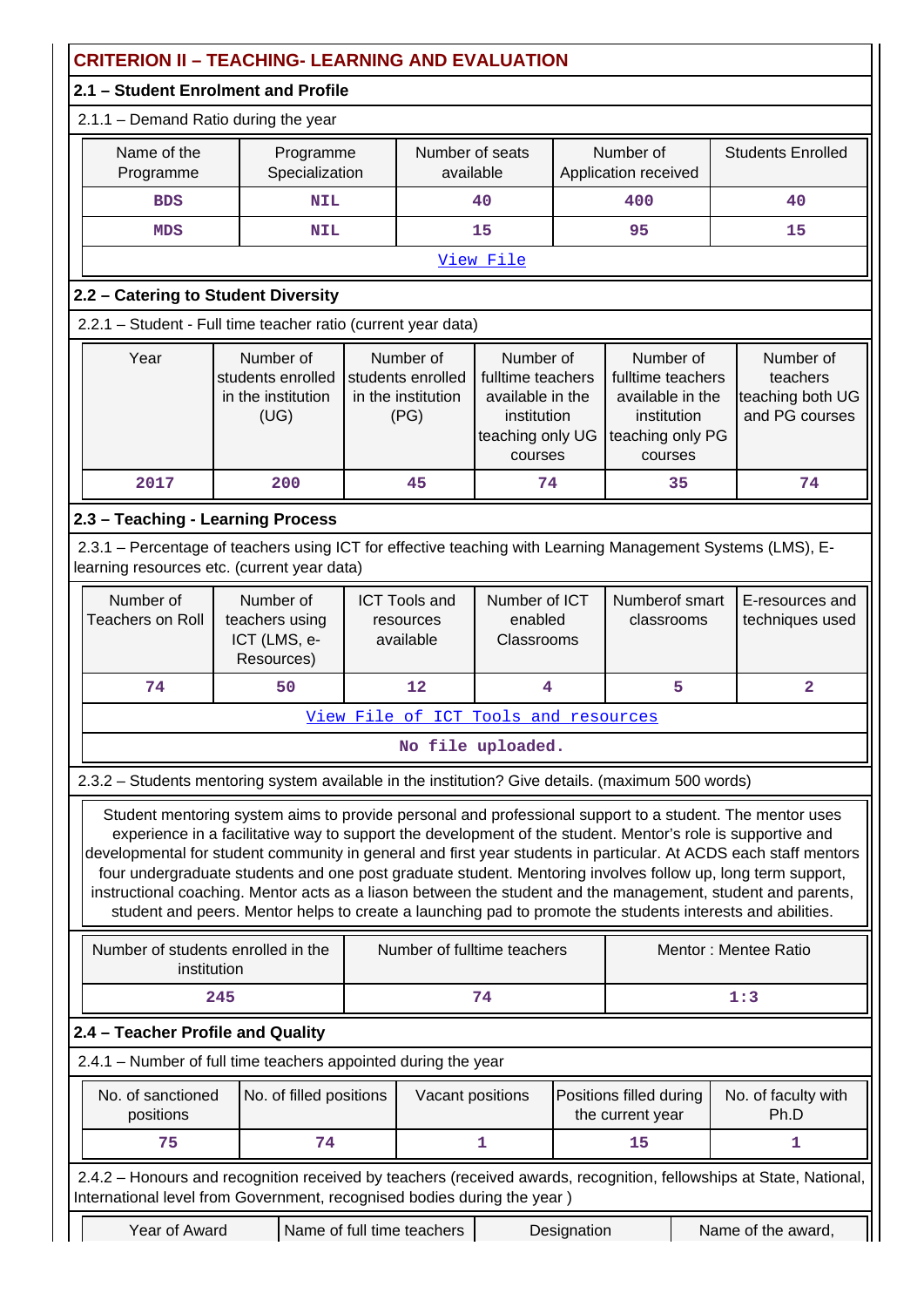|                                                                                                                                                                                                | <b>CRITERION II - TEACHING- LEARNING AND EVALUATION</b>                                                                                                                                                                                                                                                                                                                                                                                                                                                                                                                                                                                                                                  |  |                                                                                                                                                                                                                                                                      |                                        |             |                                                             |  |                                    |
|------------------------------------------------------------------------------------------------------------------------------------------------------------------------------------------------|------------------------------------------------------------------------------------------------------------------------------------------------------------------------------------------------------------------------------------------------------------------------------------------------------------------------------------------------------------------------------------------------------------------------------------------------------------------------------------------------------------------------------------------------------------------------------------------------------------------------------------------------------------------------------------------|--|----------------------------------------------------------------------------------------------------------------------------------------------------------------------------------------------------------------------------------------------------------------------|----------------------------------------|-------------|-------------------------------------------------------------|--|------------------------------------|
| 2.1 - Student Enrolment and Profile                                                                                                                                                            |                                                                                                                                                                                                                                                                                                                                                                                                                                                                                                                                                                                                                                                                                          |  |                                                                                                                                                                                                                                                                      |                                        |             |                                                             |  |                                    |
| 2.1.1 - Demand Ratio during the year                                                                                                                                                           |                                                                                                                                                                                                                                                                                                                                                                                                                                                                                                                                                                                                                                                                                          |  |                                                                                                                                                                                                                                                                      |                                        |             |                                                             |  |                                    |
| Name of the<br>Programme                                                                                                                                                                       | Programme<br>Specialization                                                                                                                                                                                                                                                                                                                                                                                                                                                                                                                                                                                                                                                              |  | Number of seats<br>available                                                                                                                                                                                                                                         |                                        |             | Number of<br>Application received                           |  | <b>Students Enrolled</b>           |
| <b>BDS</b>                                                                                                                                                                                     | <b>NIL</b>                                                                                                                                                                                                                                                                                                                                                                                                                                                                                                                                                                                                                                                                               |  |                                                                                                                                                                                                                                                                      | 40                                     |             | 400                                                         |  | 40                                 |
| <b>MDS</b>                                                                                                                                                                                     | <b>NIL</b>                                                                                                                                                                                                                                                                                                                                                                                                                                                                                                                                                                                                                                                                               |  |                                                                                                                                                                                                                                                                      | 15                                     |             | 95                                                          |  | 15                                 |
|                                                                                                                                                                                                |                                                                                                                                                                                                                                                                                                                                                                                                                                                                                                                                                                                                                                                                                          |  |                                                                                                                                                                                                                                                                      | View File                              |             |                                                             |  |                                    |
| 2.2 - Catering to Student Diversity                                                                                                                                                            |                                                                                                                                                                                                                                                                                                                                                                                                                                                                                                                                                                                                                                                                                          |  |                                                                                                                                                                                                                                                                      |                                        |             |                                                             |  |                                    |
| 2.2.1 - Student - Full time teacher ratio (current year data)                                                                                                                                  |                                                                                                                                                                                                                                                                                                                                                                                                                                                                                                                                                                                                                                                                                          |  |                                                                                                                                                                                                                                                                      |                                        |             |                                                             |  |                                    |
| Year                                                                                                                                                                                           | Number of<br>students enrolled<br>in the institution<br>(UG)                                                                                                                                                                                                                                                                                                                                                                                                                                                                                                                                                                                                                             |  | Number of<br>Number of<br>Number of<br>students enrolled<br>fulltime teachers<br>fulltime teachers<br>in the institution<br>available in the<br>available in the<br>(PG)<br>institution<br>institution<br>teaching only UG<br>teaching only PG<br>courses<br>courses |                                        |             | Number of<br>teachers<br>teaching both UG<br>and PG courses |  |                                    |
| 2017                                                                                                                                                                                           | 200                                                                                                                                                                                                                                                                                                                                                                                                                                                                                                                                                                                                                                                                                      |  | 45                                                                                                                                                                                                                                                                   | 74                                     |             | 35                                                          |  | 74                                 |
| 2.3 - Teaching - Learning Process                                                                                                                                                              |                                                                                                                                                                                                                                                                                                                                                                                                                                                                                                                                                                                                                                                                                          |  |                                                                                                                                                                                                                                                                      |                                        |             |                                                             |  |                                    |
| 2.3.1 – Percentage of teachers using ICT for effective teaching with Learning Management Systems (LMS), E-<br>learning resources etc. (current year data)                                      |                                                                                                                                                                                                                                                                                                                                                                                                                                                                                                                                                                                                                                                                                          |  |                                                                                                                                                                                                                                                                      |                                        |             |                                                             |  |                                    |
| Number of<br><b>Teachers on Roll</b>                                                                                                                                                           | Number of<br>teachers using<br>ICT (LMS, e-<br>Resources)                                                                                                                                                                                                                                                                                                                                                                                                                                                                                                                                                                                                                                |  | <b>ICT Tools and</b><br>resources<br>available                                                                                                                                                                                                                       | Number of ICT<br>enabled<br>Classrooms |             | Numberof smart<br>classrooms                                |  | E-resources and<br>techniques used |
| 74                                                                                                                                                                                             | 50                                                                                                                                                                                                                                                                                                                                                                                                                                                                                                                                                                                                                                                                                       |  | 12                                                                                                                                                                                                                                                                   | 4                                      |             | 5                                                           |  | $\overline{\mathbf{2}}$            |
|                                                                                                                                                                                                |                                                                                                                                                                                                                                                                                                                                                                                                                                                                                                                                                                                                                                                                                          |  |                                                                                                                                                                                                                                                                      | View File of ICT Tools and resources   |             |                                                             |  |                                    |
|                                                                                                                                                                                                |                                                                                                                                                                                                                                                                                                                                                                                                                                                                                                                                                                                                                                                                                          |  |                                                                                                                                                                                                                                                                      | No file uploaded.                      |             |                                                             |  |                                    |
| 2.3.2 - Students mentoring system available in the institution? Give details. (maximum 500 words)                                                                                              |                                                                                                                                                                                                                                                                                                                                                                                                                                                                                                                                                                                                                                                                                          |  |                                                                                                                                                                                                                                                                      |                                        |             |                                                             |  |                                    |
|                                                                                                                                                                                                | Student mentoring system aims to provide personal and professional support to a student. The mentor uses<br>experience in a facilitative way to support the development of the student. Mentor's role is supportive and<br>developmental for student community in general and first year students in particular. At ACDS each staff mentors<br>four undergraduate students and one post graduate student. Mentoring involves follow up, long term support,<br>instructional coaching. Mentor acts as a liason between the student and the management, student and parents,<br>student and peers. Mentor helps to create a launching pad to promote the students interests and abilities. |  |                                                                                                                                                                                                                                                                      |                                        |             |                                                             |  |                                    |
| Number of students enrolled in the<br>institution                                                                                                                                              |                                                                                                                                                                                                                                                                                                                                                                                                                                                                                                                                                                                                                                                                                          |  |                                                                                                                                                                                                                                                                      | Number of fulltime teachers            |             |                                                             |  | Mentor: Mentee Ratio               |
|                                                                                                                                                                                                | 245                                                                                                                                                                                                                                                                                                                                                                                                                                                                                                                                                                                                                                                                                      |  |                                                                                                                                                                                                                                                                      | 74                                     |             |                                                             |  | 1:3                                |
| 2.4 - Teacher Profile and Quality                                                                                                                                                              |                                                                                                                                                                                                                                                                                                                                                                                                                                                                                                                                                                                                                                                                                          |  |                                                                                                                                                                                                                                                                      |                                        |             |                                                             |  |                                    |
| 2.4.1 - Number of full time teachers appointed during the year                                                                                                                                 |                                                                                                                                                                                                                                                                                                                                                                                                                                                                                                                                                                                                                                                                                          |  |                                                                                                                                                                                                                                                                      |                                        |             |                                                             |  |                                    |
| No. of sanctioned<br>positions                                                                                                                                                                 | No. of filled positions                                                                                                                                                                                                                                                                                                                                                                                                                                                                                                                                                                                                                                                                  |  | Vacant positions                                                                                                                                                                                                                                                     |                                        |             | Positions filled during<br>the current year                 |  | No. of faculty with<br>Ph.D        |
| 75                                                                                                                                                                                             | 74                                                                                                                                                                                                                                                                                                                                                                                                                                                                                                                                                                                                                                                                                       |  |                                                                                                                                                                                                                                                                      | 1                                      |             | 15                                                          |  | 1                                  |
| 2.4.2 - Honours and recognition received by teachers (received awards, recognition, fellowships at State, National,<br>International level from Government, recognised bodies during the year) |                                                                                                                                                                                                                                                                                                                                                                                                                                                                                                                                                                                                                                                                                          |  |                                                                                                                                                                                                                                                                      |                                        |             |                                                             |  |                                    |
| Year of Award                                                                                                                                                                                  |                                                                                                                                                                                                                                                                                                                                                                                                                                                                                                                                                                                                                                                                                          |  | Name of full time teachers                                                                                                                                                                                                                                           |                                        | Designation |                                                             |  | Name of the award,                 |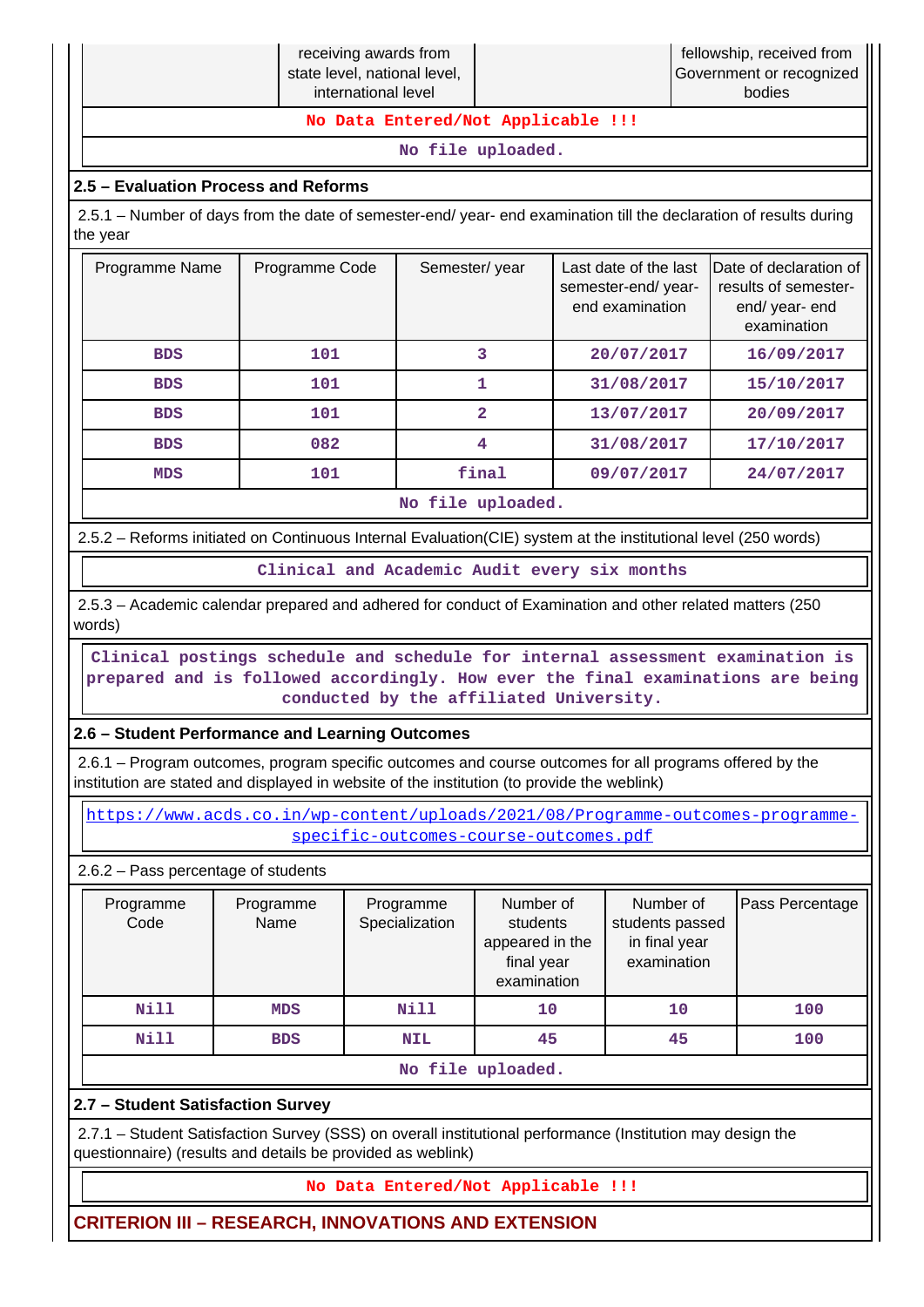|                                    | receiving awards from<br>state level, national level,<br>international level |  | fellowship, received from  <br>Government or recognized  <br>bodies |  |  |  |  |  |
|------------------------------------|------------------------------------------------------------------------------|--|---------------------------------------------------------------------|--|--|--|--|--|
| No Data Entered/Not Applicable !!! |                                                                              |  |                                                                     |  |  |  |  |  |
| No file uploaded.                  |                                                                              |  |                                                                     |  |  |  |  |  |

## **2.5 – Evaluation Process and Reforms**

 2.5.1 – Number of days from the date of semester-end/ year- end examination till the declaration of results during the year

| Programme Name | Programme Code | Semester/year           | Last date of the last<br>semester-end/year-<br>end examination | Date of declaration of<br>results of semester-<br>end/ year- end<br>examination |
|----------------|----------------|-------------------------|----------------------------------------------------------------|---------------------------------------------------------------------------------|
| <b>BDS</b>     | 101            | 3                       | 20/07/2017                                                     | 16/09/2017                                                                      |
| <b>BDS</b>     | 101            |                         | 31/08/2017                                                     | 15/10/2017                                                                      |
| <b>BDS</b>     | 101            | $\overline{\mathbf{2}}$ | 13/07/2017                                                     | 20/09/2017                                                                      |
| <b>BDS</b>     | 082            | 4                       | 31/08/2017                                                     | 17/10/2017                                                                      |
| <b>MDS</b>     | 101            | final                   | 09/07/2017                                                     | 24/07/2017                                                                      |
|                |                | No file uploaded.       |                                                                |                                                                                 |

2.5.2 – Reforms initiated on Continuous Internal Evaluation(CIE) system at the institutional level (250 words)

**Clinical and Academic Audit every six months**

 2.5.3 – Academic calendar prepared and adhered for conduct of Examination and other related matters (250 words)

 **Clinical postings schedule and schedule for internal assessment examination is prepared and is followed accordingly. How ever the final examinations are being conducted by the affiliated University.**

## **2.6 – Student Performance and Learning Outcomes**

 2.6.1 – Program outcomes, program specific outcomes and course outcomes for all programs offered by the institution are stated and displayed in website of the institution (to provide the weblink)

 [https://www.acds.co.in/wp-content/uploads/2021/08/Programme-outcomes-programme](https://www.acds.co.in/wp-content/uploads/2021/08/Programme-outcomes-programme-specific-outcomes-course-outcomes.pdf)[specific-outcomes-course-outcomes.pdf](https://www.acds.co.in/wp-content/uploads/2021/08/Programme-outcomes-programme-specific-outcomes-course-outcomes.pdf)

2.6.2 – Pass percentage of students

| Programme<br>Code | Programme<br>Name | Programme<br>Specialization | Number of<br>students<br>appeared in the<br>final year<br>examination | Number of<br>students passed<br>in final year<br>examination |     |  |  |  |  |
|-------------------|-------------------|-----------------------------|-----------------------------------------------------------------------|--------------------------------------------------------------|-----|--|--|--|--|
| Nill              | <b>MDS</b>        | Nill                        | 10                                                                    | 10                                                           | 100 |  |  |  |  |
| Nill              | <b>BDS</b>        | <b>NIL</b>                  | 45                                                                    | 45                                                           | 100 |  |  |  |  |
|                   | No file uploaded. |                             |                                                                       |                                                              |     |  |  |  |  |

## **2.7 – Student Satisfaction Survey**

 2.7.1 – Student Satisfaction Survey (SSS) on overall institutional performance (Institution may design the questionnaire) (results and details be provided as weblink)

## **No Data Entered/Not Applicable !!!**

**CRITERION III – RESEARCH, INNOVATIONS AND EXTENSION**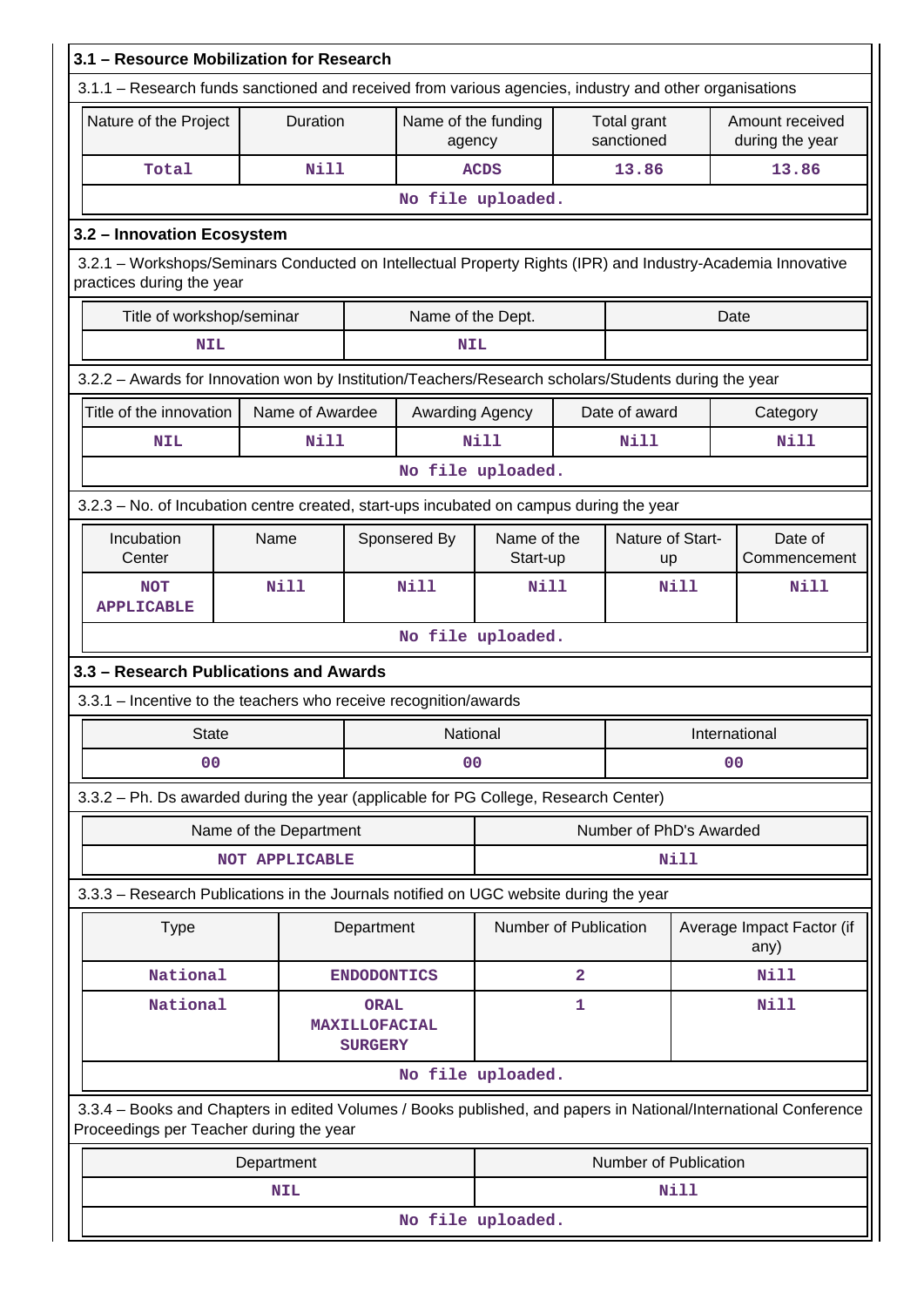| 3.1 - Resource Mobilization for Research                                                                                                                   |                        |                                                       |                               |                         |   |                           |                |                                    |  |
|------------------------------------------------------------------------------------------------------------------------------------------------------------|------------------------|-------------------------------------------------------|-------------------------------|-------------------------|---|---------------------------|----------------|------------------------------------|--|
| 3.1.1 – Research funds sanctioned and received from various agencies, industry and other organisations                                                     |                        |                                                       |                               |                         |   |                           |                |                                    |  |
| Nature of the Project                                                                                                                                      |                        | Duration                                              | Name of the funding<br>agency |                         |   | Total grant<br>sanctioned |                | Amount received<br>during the year |  |
| Total                                                                                                                                                      |                        | <b>Nill</b>                                           |                               | <b>ACDS</b>             |   | 13.86                     |                | 13.86                              |  |
|                                                                                                                                                            |                        |                                                       |                               | No file uploaded.       |   |                           |                |                                    |  |
| 3.2 - Innovation Ecosystem                                                                                                                                 |                        |                                                       |                               |                         |   |                           |                |                                    |  |
| 3.2.1 - Workshops/Seminars Conducted on Intellectual Property Rights (IPR) and Industry-Academia Innovative<br>practices during the year                   |                        |                                                       |                               |                         |   |                           |                |                                    |  |
| Title of workshop/seminar                                                                                                                                  |                        |                                                       | Name of the Dept.             |                         |   |                           | Date           |                                    |  |
| <b>NIL</b>                                                                                                                                                 |                        |                                                       | <b>NIL</b>                    |                         |   |                           |                |                                    |  |
| 3.2.2 - Awards for Innovation won by Institution/Teachers/Research scholars/Students during the year                                                       |                        |                                                       |                               |                         |   |                           |                |                                    |  |
| Title of the innovation                                                                                                                                    |                        | Name of Awardee                                       | Awarding Agency               |                         |   | Date of award             |                | Category                           |  |
| <b>NIL</b>                                                                                                                                                 |                        | <b>Nill</b>                                           |                               | <b>Nill</b>             |   | <b>Nill</b>               |                | Nill                               |  |
|                                                                                                                                                            |                        |                                                       |                               | No file uploaded.       |   |                           |                |                                    |  |
| 3.2.3 - No. of Incubation centre created, start-ups incubated on campus during the year                                                                    |                        |                                                       |                               |                         |   |                           |                |                                    |  |
| Incubation<br>Center                                                                                                                                       | Name                   |                                                       | Sponsered By                  | Name of the<br>Start-up |   | Nature of Start-<br>up    |                | Date of<br>Commencement            |  |
| <b>NOT</b><br><b>APPLICABLE</b>                                                                                                                            | <b>Nill</b>            |                                                       | Nill                          | <b>Nill</b>             |   |                           | Nill           | Nill                               |  |
|                                                                                                                                                            |                        |                                                       |                               | No file uploaded.       |   |                           |                |                                    |  |
| 3.3 - Research Publications and Awards                                                                                                                     |                        |                                                       |                               |                         |   |                           |                |                                    |  |
| 3.3.1 - Incentive to the teachers who receive recognition/awards                                                                                           |                        |                                                       |                               |                         |   |                           |                |                                    |  |
| <b>State</b>                                                                                                                                               |                        |                                                       | National                      |                         |   |                           | International  |                                    |  |
| 0 <sub>0</sub>                                                                                                                                             |                        |                                                       | 0 <sup>0</sup>                |                         |   |                           | 0 <sub>0</sub> |                                    |  |
| 3.3.2 - Ph. Ds awarded during the year (applicable for PG College, Research Center)                                                                        |                        |                                                       |                               |                         |   |                           |                |                                    |  |
|                                                                                                                                                            | Name of the Department |                                                       |                               |                         |   | Number of PhD's Awarded   |                |                                    |  |
|                                                                                                                                                            | NOT APPLICABLE         |                                                       |                               |                         |   |                           | Nill           |                                    |  |
| 3.3.3 - Research Publications in the Journals notified on UGC website during the year                                                                      |                        |                                                       |                               |                         |   |                           |                |                                    |  |
| Type                                                                                                                                                       |                        | Department                                            |                               | Number of Publication   |   |                           |                | Average Impact Factor (if<br>any)  |  |
| National                                                                                                                                                   |                        | <b>ENDODONTICS</b>                                    |                               |                         | 2 |                           |                | <b>Nill</b>                        |  |
| National                                                                                                                                                   |                        | <b>ORAL</b><br><b>MAXILLOFACIAL</b><br><b>SURGERY</b> |                               |                         | 1 |                           |                | <b>Nill</b>                        |  |
|                                                                                                                                                            |                        |                                                       |                               | No file uploaded.       |   |                           |                |                                    |  |
| 3.3.4 - Books and Chapters in edited Volumes / Books published, and papers in National/International Conference<br>Proceedings per Teacher during the year |                        |                                                       |                               |                         |   |                           |                |                                    |  |
|                                                                                                                                                            | Department             |                                                       |                               |                         |   | Number of Publication     |                |                                    |  |
|                                                                                                                                                            | <b>NIL</b>             |                                                       |                               |                         |   |                           | Nill           |                                    |  |
|                                                                                                                                                            | No file uploaded.      |                                                       |                               |                         |   |                           |                |                                    |  |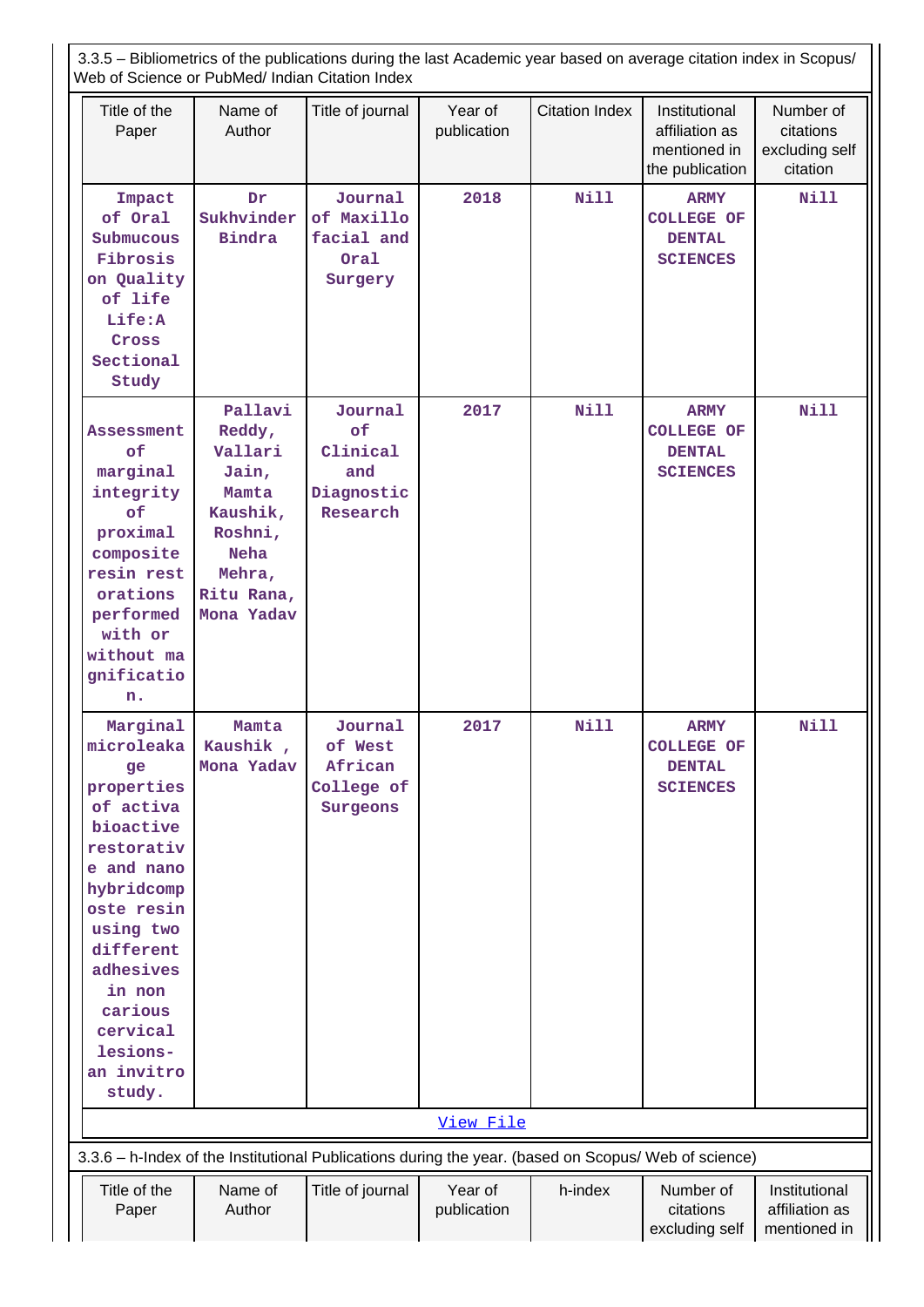3.3.5 – Bibliometrics of the publications during the last Academic year based on average citation index in Scopus/ Web of Science or PubMed/ Indian Citation Index

| Title of the<br>Paper                                                                                                                                                                                                                    | Name of<br>Author                                                                                                          | Title of journal                                           | Year of<br>publication | <b>Citation Index</b> | Institutional<br>affiliation as<br>mentioned in<br>the publication   | Number of<br>citations<br>excluding self<br>citation |
|------------------------------------------------------------------------------------------------------------------------------------------------------------------------------------------------------------------------------------------|----------------------------------------------------------------------------------------------------------------------------|------------------------------------------------------------|------------------------|-----------------------|----------------------------------------------------------------------|------------------------------------------------------|
| Impact<br>of Oral<br>Submucous<br>Fibrosis<br>on Quality<br>of life<br>Life:A<br>Cross<br>Sectional<br>Study                                                                                                                             | Dr<br>Sukhvinder<br><b>Bindra</b>                                                                                          | Journal<br>of Maxillo<br>facial and<br>Oral<br>Surgery     | 2018                   | <b>Nill</b>           | <b>ARMY</b><br><b>COLLEGE OF</b><br><b>DENTAL</b><br><b>SCIENCES</b> | Nill                                                 |
| <b>Assessment</b><br>of<br>marginal<br>integrity<br>of<br>proximal<br>composite<br>resin rest<br>orations<br>performed<br>with or<br>without ma<br>gnificatio<br>n.                                                                      | Pallavi<br>Reddy,<br>Vallari<br>Jain,<br>Mamta<br>Kaushik,<br>Roshni,<br><b>Neha</b><br>Mehra,<br>Ritu Rana,<br>Mona Yadav | Journal<br>of<br>Clinical<br>and<br>Diagnostic<br>Research | 2017                   | Nill                  | <b>ARMY</b><br><b>COLLEGE OF</b><br><b>DENTAL</b><br><b>SCIENCES</b> | <b>Nill</b>                                          |
| Marginal<br>microleaka<br>ge<br>properties<br>of activa<br>bioactive<br>restorativ<br>e and nano<br>hybridcomp<br>oste resin<br>using two<br>different<br>adhesives<br>in non<br>carious<br>cervical<br>lesions-<br>an invitro<br>study. | Mamta<br>Kaushik,<br>Mona Yadav                                                                                            | Journal<br>of West<br>African<br>College of<br>Surgeons    | 2017                   | Nill                  | <b>ARMY</b><br><b>COLLEGE OF</b><br><b>DENTAL</b><br><b>SCIENCES</b> | <b>Nill</b>                                          |
|                                                                                                                                                                                                                                          |                                                                                                                            |                                                            | View File              |                       |                                                                      |                                                      |
| 3.3.6 - h-Index of the Institutional Publications during the year. (based on Scopus/ Web of science)                                                                                                                                     |                                                                                                                            |                                                            |                        |                       |                                                                      |                                                      |
| Title of the<br>Paper                                                                                                                                                                                                                    | Name of<br>Author                                                                                                          | Title of journal                                           | Year of<br>publication | h-index               | Number of<br>citations<br>excluding self                             | Institutional<br>affiliation as<br>mentioned in      |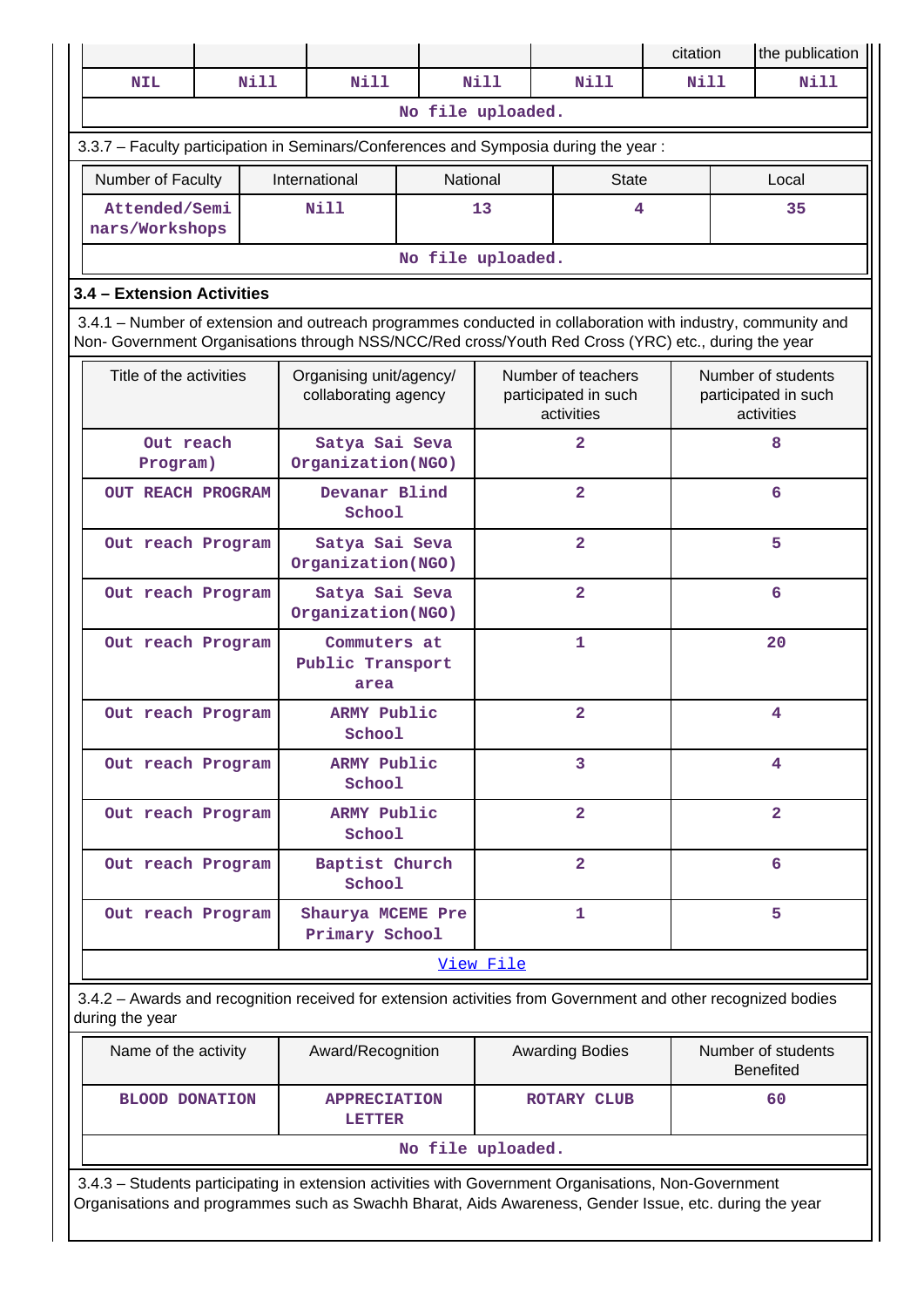|                                                                                                                                                                                                                    |  |             |                                                 |                   |           |                                                          | citation |                                        | the publication                                          |
|--------------------------------------------------------------------------------------------------------------------------------------------------------------------------------------------------------------------|--|-------------|-------------------------------------------------|-------------------|-----------|----------------------------------------------------------|----------|----------------------------------------|----------------------------------------------------------|
| <b>NIL</b>                                                                                                                                                                                                         |  | <b>Nill</b> | <b>Nill</b>                                     |                   | Nill      | Nill                                                     |          | <b>Nill</b><br><b>Nill</b>             |                                                          |
|                                                                                                                                                                                                                    |  |             |                                                 | No file uploaded. |           |                                                          |          |                                        |                                                          |
| 3.3.7 - Faculty participation in Seminars/Conferences and Symposia during the year:                                                                                                                                |  |             |                                                 |                   |           |                                                          |          |                                        |                                                          |
| Number of Faculty                                                                                                                                                                                                  |  |             | International                                   | National          |           | <b>State</b>                                             |          |                                        | Local                                                    |
| Attended/Semi<br>nars/Workshops                                                                                                                                                                                    |  |             | <b>Nill</b>                                     | 13                |           | 4                                                        |          |                                        | 35                                                       |
|                                                                                                                                                                                                                    |  |             |                                                 | No file uploaded. |           |                                                          |          |                                        |                                                          |
| 3.4 - Extension Activities                                                                                                                                                                                         |  |             |                                                 |                   |           |                                                          |          |                                        |                                                          |
| 3.4.1 – Number of extension and outreach programmes conducted in collaboration with industry, community and<br>Non- Government Organisations through NSS/NCC/Red cross/Youth Red Cross (YRC) etc., during the year |  |             |                                                 |                   |           |                                                          |          |                                        |                                                          |
| Title of the activities                                                                                                                                                                                            |  |             | Organising unit/agency/<br>collaborating agency |                   |           | Number of teachers<br>participated in such<br>activities |          |                                        | Number of students<br>participated in such<br>activities |
| Out reach<br>Program)                                                                                                                                                                                              |  |             | Satya Sai Seva<br>Organization(NGO)             |                   |           | $\overline{2}$                                           |          |                                        | 8                                                        |
| <b>OUT REACH PROGRAM</b>                                                                                                                                                                                           |  |             | Devanar Blind<br>School                         |                   |           | $\overline{\mathbf{2}}$                                  |          |                                        | 6                                                        |
| Out reach Program                                                                                                                                                                                                  |  |             | Satya Sai Seva<br>Organization(NGO)             |                   |           | $\overline{\mathbf{2}}$                                  |          |                                        | 5                                                        |
| Out reach Program                                                                                                                                                                                                  |  |             | Satya Sai Seva<br>Organization(NGO)             |                   |           | $\overline{\mathbf{2}}$                                  |          |                                        | 6                                                        |
| Out reach Program                                                                                                                                                                                                  |  |             | Commuters at<br>Public Transport<br>area        |                   |           | 1                                                        |          | 20                                     |                                                          |
| Out reach Program                                                                                                                                                                                                  |  |             | ARMY Public<br>School                           |                   |           | $\overline{2}$                                           |          | 4                                      |                                                          |
| Out reach Program                                                                                                                                                                                                  |  |             | ARMY Public<br>School                           |                   |           | 3                                                        |          | 4                                      |                                                          |
| Out reach Program                                                                                                                                                                                                  |  |             | ARMY Public<br>School                           |                   |           | $\overline{2}$                                           |          | $\overline{2}$                         |                                                          |
| Out reach Program                                                                                                                                                                                                  |  |             | Baptist Church<br>School                        |                   |           | $\overline{2}$                                           |          |                                        | 6                                                        |
| Out reach Program                                                                                                                                                                                                  |  |             | Shaurya MCEME Pre<br>Primary School             |                   |           | 1                                                        |          |                                        | 5                                                        |
|                                                                                                                                                                                                                    |  |             |                                                 |                   | View File |                                                          |          |                                        |                                                          |
| 3.4.2 - Awards and recognition received for extension activities from Government and other recognized bodies<br>during the year                                                                                    |  |             |                                                 |                   |           |                                                          |          |                                        |                                                          |
| Name of the activity                                                                                                                                                                                               |  |             | Award/Recognition                               |                   |           | <b>Awarding Bodies</b>                                   |          | Number of students<br><b>Benefited</b> |                                                          |
| <b>BLOOD DONATION</b>                                                                                                                                                                                              |  |             | <b>APPRECIATION</b><br><b>LETTER</b>            |                   |           | ROTARY CLUB                                              |          |                                        | 60                                                       |
|                                                                                                                                                                                                                    |  |             |                                                 | No file uploaded. |           |                                                          |          |                                        |                                                          |
| 3.4.3 - Students participating in extension activities with Government Organisations, Non-Government<br>Organisations and programmes such as Swachh Bharat, Aids Awareness, Gender Issue, etc. during the year     |  |             |                                                 |                   |           |                                                          |          |                                        |                                                          |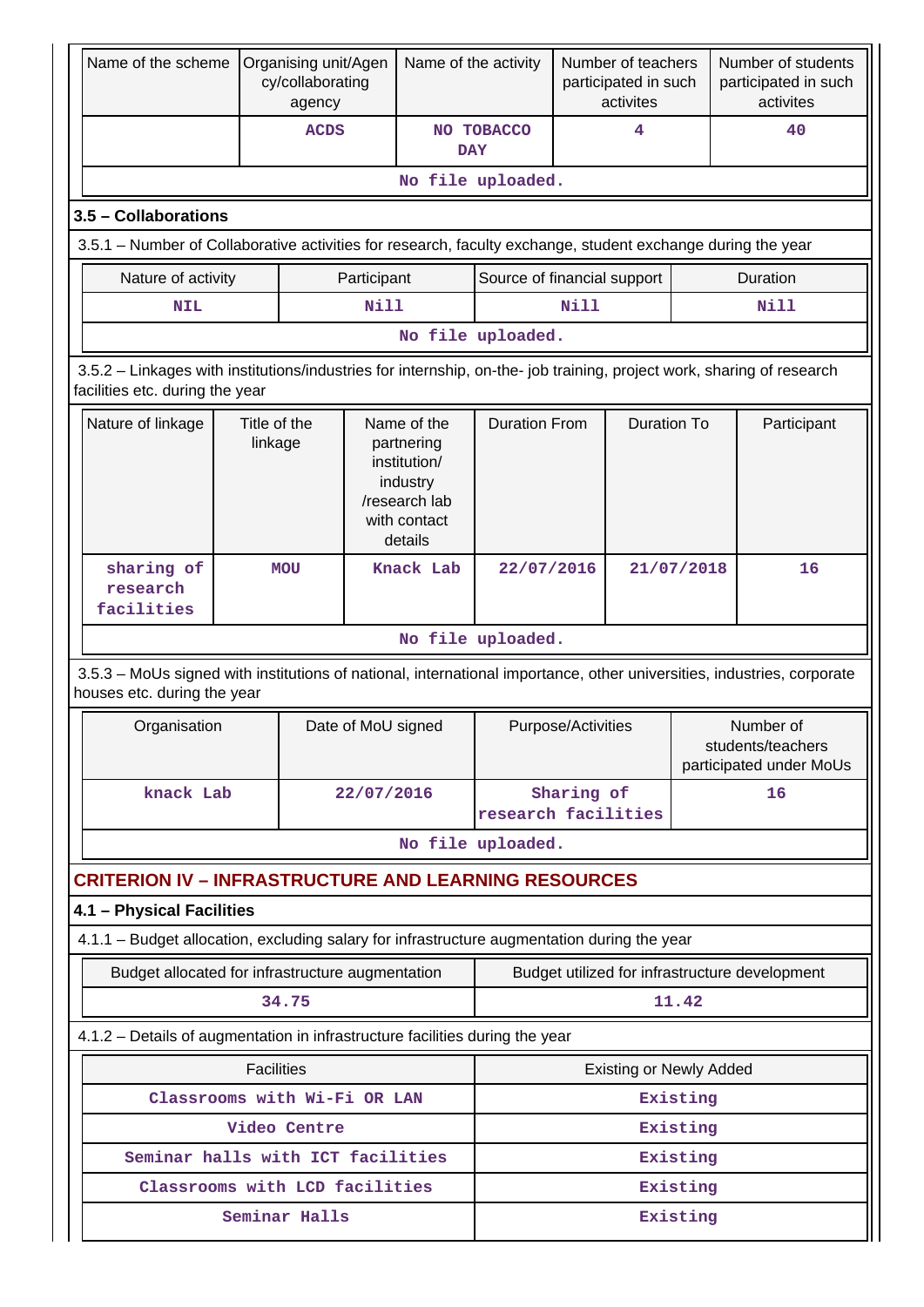| Name of the scheme                                                                                                                                       |                                                                                                                                                                            | Organising unit/Agen<br>cy/collaborating<br>agency |                    | Name of the activity |                             |            | Number of teachers<br>participated in such<br>activites |            | Number of students<br>participated in such<br>activites   |
|----------------------------------------------------------------------------------------------------------------------------------------------------------|----------------------------------------------------------------------------------------------------------------------------------------------------------------------------|----------------------------------------------------|--------------------|----------------------|-----------------------------|------------|---------------------------------------------------------|------------|-----------------------------------------------------------|
|                                                                                                                                                          |                                                                                                                                                                            | <b>ACDS</b>                                        |                    | <b>DAY</b>           | NO TOBACCO                  |            | 4                                                       |            | 40                                                        |
|                                                                                                                                                          |                                                                                                                                                                            |                                                    |                    |                      | No file uploaded.           |            |                                                         |            |                                                           |
| 3.5 - Collaborations                                                                                                                                     |                                                                                                                                                                            |                                                    |                    |                      |                             |            |                                                         |            |                                                           |
|                                                                                                                                                          | 3.5.1 – Number of Collaborative activities for research, faculty exchange, student exchange during the year                                                                |                                                    |                    |                      |                             |            |                                                         |            |                                                           |
| Nature of activity                                                                                                                                       |                                                                                                                                                                            |                                                    | Participant        |                      | Source of financial support |            |                                                         |            | Duration                                                  |
| <b>NIL</b>                                                                                                                                               |                                                                                                                                                                            |                                                    | Nill               |                      |                             | Nill       |                                                         |            | Nill                                                      |
|                                                                                                                                                          |                                                                                                                                                                            |                                                    |                    |                      | No file uploaded.           |            |                                                         |            |                                                           |
| 3.5.2 - Linkages with institutions/industries for internship, on-the- job training, project work, sharing of research<br>facilities etc. during the year |                                                                                                                                                                            |                                                    |                    |                      |                             |            |                                                         |            |                                                           |
| Nature of linkage                                                                                                                                        | <b>Duration From</b><br><b>Duration To</b><br>Title of the<br>Name of the<br>linkage<br>partnering<br>institution/<br>industry<br>/research lab<br>with contact<br>details |                                                    | Participant        |                      |                             |            |                                                         |            |                                                           |
| sharing of<br>research<br>facilities                                                                                                                     |                                                                                                                                                                            | <b>MOU</b>                                         |                    | Knack Lab            | 22/07/2016                  |            |                                                         | 21/07/2018 | 16                                                        |
|                                                                                                                                                          |                                                                                                                                                                            |                                                    |                    |                      | No file uploaded.           |            |                                                         |            |                                                           |
| 3.5.3 - MoUs signed with institutions of national, international importance, other universities, industries, corporate<br>houses etc. during the year    |                                                                                                                                                                            |                                                    |                    |                      |                             |            |                                                         |            |                                                           |
| Organisation                                                                                                                                             |                                                                                                                                                                            |                                                    | Date of MoU signed |                      | Purpose/Activities          |            |                                                         |            | Number of<br>students/teachers<br>participated under MoUs |
| knack Lab                                                                                                                                                |                                                                                                                                                                            |                                                    | 22/07/2016         |                      | research facilities         | Sharing of |                                                         | 16         |                                                           |
|                                                                                                                                                          |                                                                                                                                                                            |                                                    |                    |                      | No file uploaded.           |            |                                                         |            |                                                           |
| <b>CRITERION IV - INFRASTRUCTURE AND LEARNING RESOURCES</b>                                                                                              |                                                                                                                                                                            |                                                    |                    |                      |                             |            |                                                         |            |                                                           |
| 4.1 - Physical Facilities                                                                                                                                |                                                                                                                                                                            |                                                    |                    |                      |                             |            |                                                         |            |                                                           |
| 4.1.1 - Budget allocation, excluding salary for infrastructure augmentation during the year                                                              |                                                                                                                                                                            |                                                    |                    |                      |                             |            |                                                         |            |                                                           |
| Budget allocated for infrastructure augmentation                                                                                                         |                                                                                                                                                                            |                                                    |                    |                      |                             |            |                                                         |            | Budget utilized for infrastructure development            |
|                                                                                                                                                          |                                                                                                                                                                            | 34.75                                              |                    |                      |                             |            |                                                         | 11.42      |                                                           |
| 4.1.2 - Details of augmentation in infrastructure facilities during the year                                                                             |                                                                                                                                                                            |                                                    |                    |                      |                             |            |                                                         |            |                                                           |
|                                                                                                                                                          | <b>Facilities</b>                                                                                                                                                          |                                                    |                    |                      |                             |            | <b>Existing or Newly Added</b>                          |            |                                                           |
|                                                                                                                                                          |                                                                                                                                                                            | Classrooms with Wi-Fi OR LAN                       |                    |                      |                             |            |                                                         | Existing   |                                                           |
|                                                                                                                                                          |                                                                                                                                                                            | Video Centre                                       |                    |                      |                             |            |                                                         | Existing   |                                                           |
| Seminar halls with ICT facilities                                                                                                                        |                                                                                                                                                                            |                                                    |                    |                      |                             |            |                                                         | Existing   |                                                           |
| Classrooms with LCD facilities                                                                                                                           |                                                                                                                                                                            |                                                    |                    |                      |                             |            |                                                         | Existing   |                                                           |
|                                                                                                                                                          |                                                                                                                                                                            | Seminar Halls                                      |                    |                      | Existing                    |            |                                                         |            |                                                           |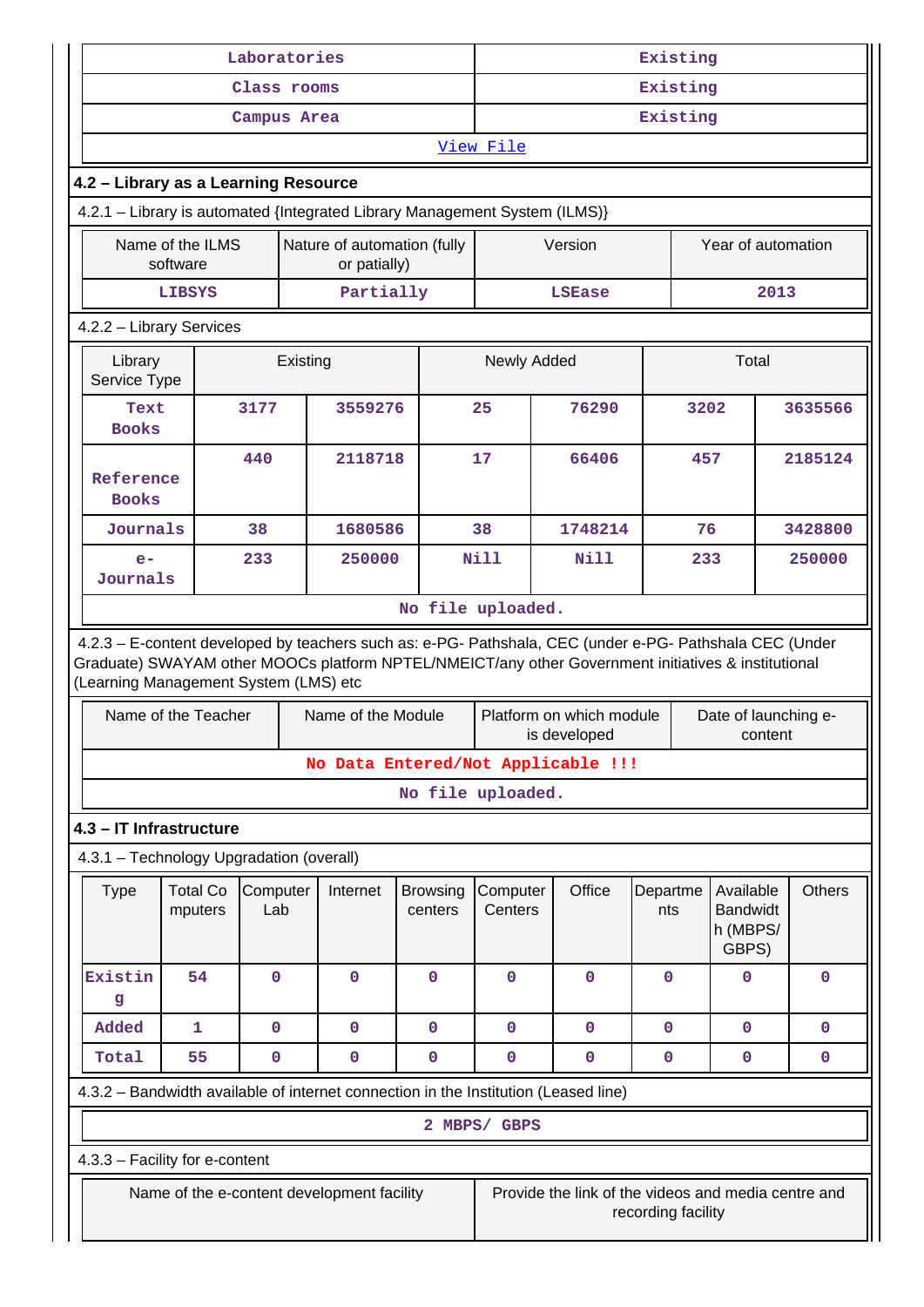| Laboratories                                                                                                                                                                                                                                            |                              |                                             |          |                                            |                            | Existing            |                                                     |                    |                 |                                                   |  |               |
|---------------------------------------------------------------------------------------------------------------------------------------------------------------------------------------------------------------------------------------------------------|------------------------------|---------------------------------------------|----------|--------------------------------------------|----------------------------|---------------------|-----------------------------------------------------|--------------------|-----------------|---------------------------------------------------|--|---------------|
|                                                                                                                                                                                                                                                         |                              | Class rooms                                 |          |                                            |                            | Existing            |                                                     |                    |                 |                                                   |  |               |
|                                                                                                                                                                                                                                                         |                              | Campus Area                                 |          |                                            |                            |                     |                                                     |                    | Existing        |                                                   |  |               |
|                                                                                                                                                                                                                                                         |                              |                                             |          |                                            |                            | View File           |                                                     |                    |                 |                                                   |  |               |
| 4.2 - Library as a Learning Resource                                                                                                                                                                                                                    |                              |                                             |          |                                            |                            |                     |                                                     |                    |                 |                                                   |  |               |
| 4.2.1 - Library is automated {Integrated Library Management System (ILMS)}                                                                                                                                                                              |                              |                                             |          |                                            |                            |                     |                                                     |                    |                 |                                                   |  |               |
|                                                                                                                                                                                                                                                         | Name of the ILMS<br>software | Nature of automation (fully<br>or patially) |          |                                            |                            |                     | Version                                             |                    |                 | Year of automation                                |  |               |
| Partially<br>2013<br><b>LIBSYS</b><br><b>LSEase</b>                                                                                                                                                                                                     |                              |                                             |          |                                            |                            |                     |                                                     |                    |                 |                                                   |  |               |
| 4.2.2 - Library Services                                                                                                                                                                                                                                |                              |                                             |          |                                            |                            |                     |                                                     |                    |                 |                                                   |  |               |
| Library<br>Service Type                                                                                                                                                                                                                                 |                              |                                             | Existing |                                            |                            | Newly Added         |                                                     |                    |                 | Total                                             |  |               |
| Text<br><b>Books</b>                                                                                                                                                                                                                                    |                              | 3177                                        |          | 3559276                                    |                            | 25                  | 76290                                               |                    | 3202            |                                                   |  | 3635566       |
| Reference<br><b>Books</b>                                                                                                                                                                                                                               |                              | 440                                         |          | 2118718                                    |                            | 17                  | 66406                                               |                    | 457             |                                                   |  | 2185124       |
| Journals                                                                                                                                                                                                                                                |                              | 38                                          |          | 1680586                                    |                            | 38                  | 1748214                                             |                    | 76              |                                                   |  | 3428800       |
| $e-$<br>Journals                                                                                                                                                                                                                                        |                              | 233                                         |          | 250000                                     |                            | <b>Nill</b>         | <b>Nill</b>                                         |                    | 233             |                                                   |  | 250000        |
|                                                                                                                                                                                                                                                         |                              |                                             |          |                                            | No file uploaded.          |                     |                                                     |                    |                 |                                                   |  |               |
| 4.2.3 - E-content developed by teachers such as: e-PG- Pathshala, CEC (under e-PG- Pathshala CEC (Under<br>Graduate) SWAYAM other MOOCs platform NPTEL/NMEICT/any other Government initiatives & institutional<br>(Learning Management System (LMS) etc |                              |                                             |          |                                            |                            |                     |                                                     |                    |                 |                                                   |  |               |
|                                                                                                                                                                                                                                                         | Name of the Teacher          |                                             |          | Name of the Module                         |                            |                     | Platform on which module<br>is developed            |                    |                 | Date of launching e-<br>content                   |  |               |
|                                                                                                                                                                                                                                                         |                              |                                             |          | No Data Entered/Not Applicable !!!         |                            |                     |                                                     |                    |                 |                                                   |  |               |
|                                                                                                                                                                                                                                                         |                              |                                             |          |                                            | No file uploaded.          |                     |                                                     |                    |                 |                                                   |  |               |
| 4.3 - IT Infrastructure                                                                                                                                                                                                                                 |                              |                                             |          |                                            |                            |                     |                                                     |                    |                 |                                                   |  |               |
| 4.3.1 - Technology Upgradation (overall)                                                                                                                                                                                                                |                              |                                             |          |                                            |                            |                     |                                                     |                    |                 |                                                   |  |               |
| <b>Type</b>                                                                                                                                                                                                                                             | <b>Total Co</b><br>mputers   | Computer<br>Lab                             |          | Internet                                   | <b>Browsing</b><br>centers | Computer<br>Centers | Office                                              |                    | Departme<br>nts | Available<br><b>Bandwidt</b><br>h (MBPS/<br>GBPS) |  | <b>Others</b> |
| Existin<br>g                                                                                                                                                                                                                                            | 54                           | $\mathbf 0$                                 |          | 0                                          | $\mathbf 0$                | 0                   | $\mathbf 0$                                         |                    | $\mathbf 0$     | $\mathbf 0$                                       |  | $\mathbf 0$   |
| Added                                                                                                                                                                                                                                                   | $\mathbf{1}$                 | $\mathbf 0$                                 |          | 0                                          | $\mathbf 0$                | 0                   | $\mathbf 0$                                         |                    | 0               | $\mathbf 0$                                       |  | 0             |
| Total                                                                                                                                                                                                                                                   | 55                           | 0                                           |          | 0                                          | $\mathbf 0$                | 0                   | 0                                                   |                    | 0               | 0                                                 |  | 0             |
| 4.3.2 - Bandwidth available of internet connection in the Institution (Leased line)                                                                                                                                                                     |                              |                                             |          |                                            |                            |                     |                                                     |                    |                 |                                                   |  |               |
|                                                                                                                                                                                                                                                         |                              |                                             |          |                                            |                            | 2 MBPS/ GBPS        |                                                     |                    |                 |                                                   |  |               |
| 4.3.3 - Facility for e-content                                                                                                                                                                                                                          |                              |                                             |          |                                            |                            |                     |                                                     |                    |                 |                                                   |  |               |
|                                                                                                                                                                                                                                                         |                              |                                             |          | Name of the e-content development facility |                            |                     | Provide the link of the videos and media centre and | recording facility |                 |                                                   |  |               |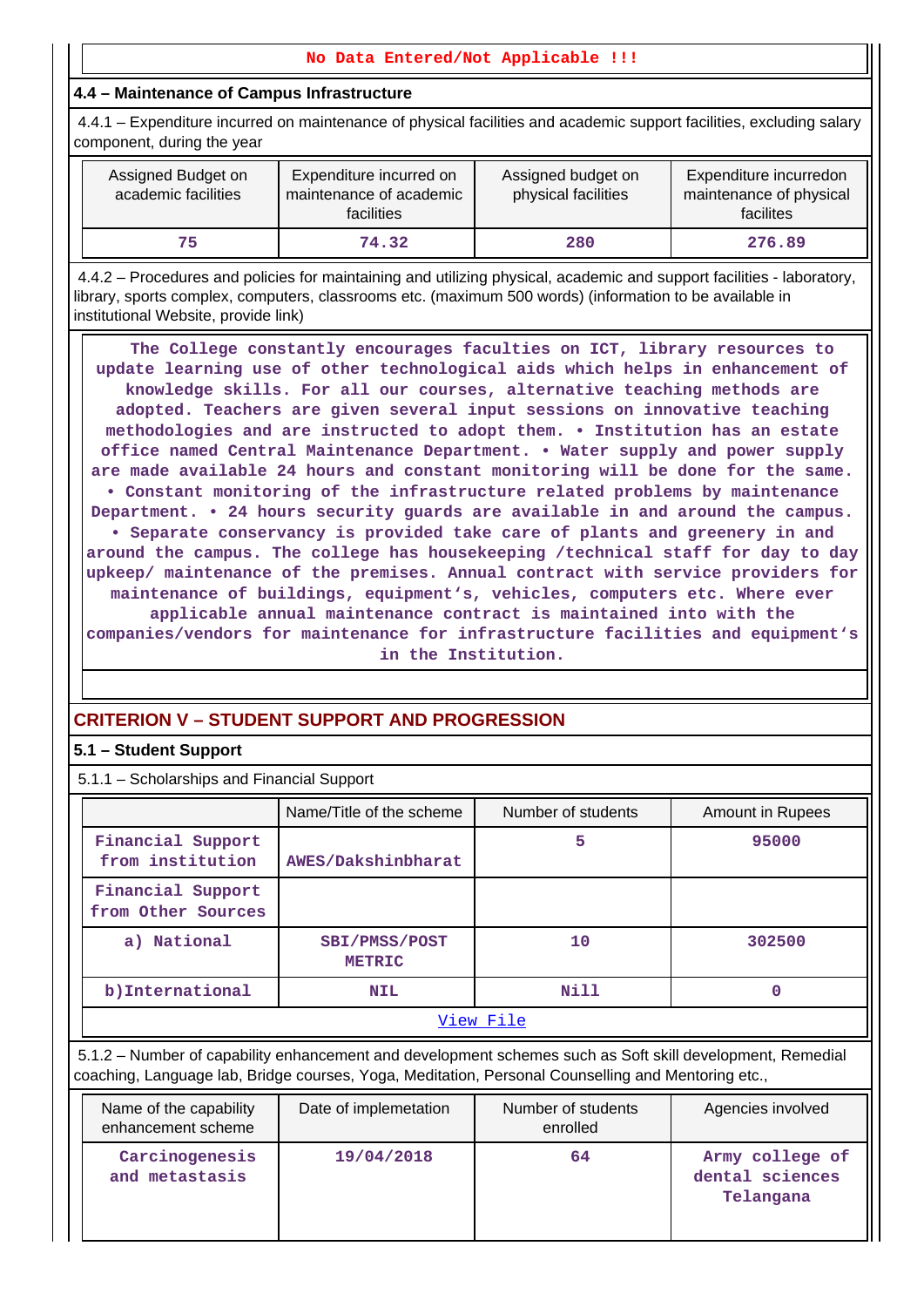## **No Data Entered/Not Applicable !!!**

## **4.4 – Maintenance of Campus Infrastructure**

 4.4.1 – Expenditure incurred on maintenance of physical facilities and academic support facilities, excluding salary component, during the year

| Assigned Budget on<br>academic facilities | Expenditure incurred on<br>maintenance of academic<br>facilities | Assigned budget on<br>physical facilities | Expenditure incurredon<br>maintenance of physical<br>facilites |
|-------------------------------------------|------------------------------------------------------------------|-------------------------------------------|----------------------------------------------------------------|
| 75                                        | 74.32                                                            | 280                                       | 276.89                                                         |

 4.4.2 – Procedures and policies for maintaining and utilizing physical, academic and support facilities - laboratory, library, sports complex, computers, classrooms etc. (maximum 500 words) (information to be available in institutional Website, provide link)

 **The College constantly encourages faculties on ICT, library resources to update learning use of other technological aids which helps in enhancement of knowledge skills. For all our courses, alternative teaching methods are adopted. Teachers are given several input sessions on innovative teaching methodologies and are instructed to adopt them. • Institution has an estate office named Central Maintenance Department. • Water supply and power supply are made available 24 hours and constant monitoring will be done for the same. • Constant monitoring of the infrastructure related problems by maintenance Department. • 24 hours security guards are available in and around the campus. • Separate conservancy is provided take care of plants and greenery in and around the campus. The college has housekeeping /technical staff for day to day upkeep/ maintenance of the premises. Annual contract with service providers for maintenance of buildings, equipment's, vehicles, computers etc. Where ever applicable annual maintenance contract is maintained into with the companies/vendors for maintenance for infrastructure facilities and equipment's in the Institution.**

## **CRITERION V – STUDENT SUPPORT AND PROGRESSION**

## **5.1 – Student Support**

5.1.1 – Scholarships and Financial Support

|                                              | Name/Title of the scheme       | Number of students                                                                                                                                                                                              | <b>Amount in Rupees</b>                         |
|----------------------------------------------|--------------------------------|-----------------------------------------------------------------------------------------------------------------------------------------------------------------------------------------------------------------|-------------------------------------------------|
| Financial Support<br>from institution        | AWES/Dakshinbharat             | 5                                                                                                                                                                                                               | 95000                                           |
| Financial Support<br>from Other Sources      |                                |                                                                                                                                                                                                                 |                                                 |
| a) National                                  | SBI/PMSS/POST<br><b>METRIC</b> | 10                                                                                                                                                                                                              | 302500                                          |
| b) International                             | <b>NIL</b>                     | Nill                                                                                                                                                                                                            | $\Omega$                                        |
|                                              |                                | View File                                                                                                                                                                                                       |                                                 |
|                                              |                                | 5.1.2 – Number of capability enhancement and development schemes such as Soft skill development, Remedial<br>coaching, Language lab, Bridge courses, Yoga, Meditation, Personal Counselling and Mentoring etc., |                                                 |
| Name of the capability<br>enhancement scheme | Date of implemetation          | Number of students<br>enrolled                                                                                                                                                                                  | Agencies involved                               |
| Carcinogenesis<br>and metastasis             | 19/04/2018                     | 64                                                                                                                                                                                                              | Army college of<br>dental sciences<br>Telangana |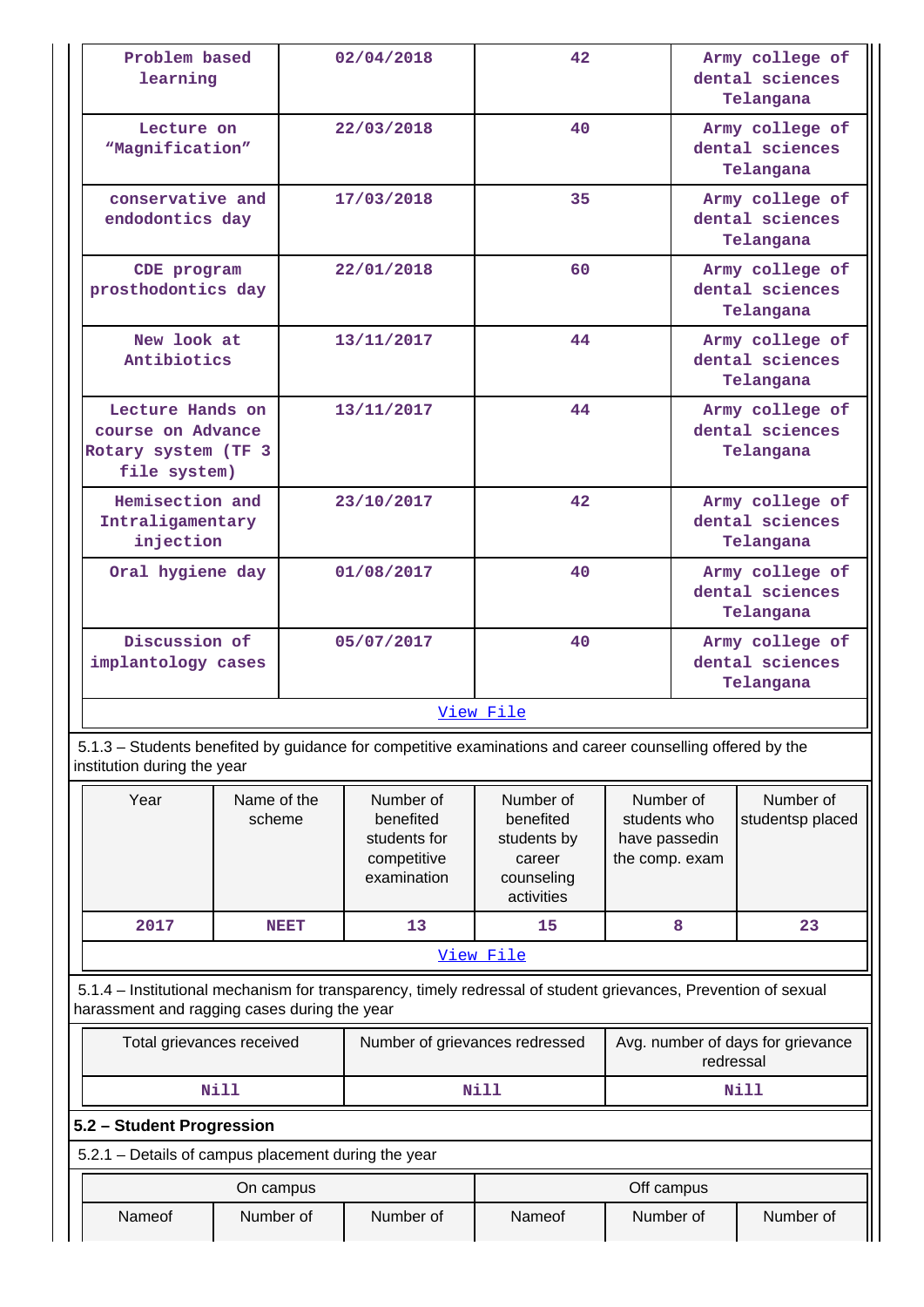| Problem based<br>learning                                                                                                                                      |                           |             | 02/04/2018                                                           | 42 <sub>2</sub>                                                             |                                                              |                                                 | Army college of<br>dental sciences<br>Telangana |
|----------------------------------------------------------------------------------------------------------------------------------------------------------------|---------------------------|-------------|----------------------------------------------------------------------|-----------------------------------------------------------------------------|--------------------------------------------------------------|-------------------------------------------------|-------------------------------------------------|
| Lecture on<br>"Magnification"                                                                                                                                  |                           |             | 22/03/2018                                                           | 40                                                                          |                                                              | Army college of<br>dental sciences<br>Telangana |                                                 |
| conservative and<br>endodontics day                                                                                                                            |                           | 17/03/2018  |                                                                      | 35                                                                          |                                                              |                                                 | Army college of<br>dental sciences<br>Telangana |
| CDE program<br>prosthodontics day                                                                                                                              |                           |             | 22/01/2018                                                           | 60                                                                          |                                                              |                                                 | Army college of<br>dental sciences<br>Telangana |
| New look at<br>Antibiotics                                                                                                                                     |                           |             | 13/11/2017                                                           | 44                                                                          |                                                              |                                                 | Army college of<br>dental sciences<br>Telangana |
| Lecture Hands on<br>course on Advance<br>Rotary system (TF 3<br>file system)                                                                                   |                           |             | 13/11/2017                                                           | 44                                                                          |                                                              |                                                 | Army college of<br>dental sciences<br>Telangana |
| Hemisection and<br>Intraligamentary<br>injection                                                                                                               |                           |             | 23/10/2017                                                           | 42                                                                          |                                                              | Army college of<br>dental sciences<br>Telangana |                                                 |
| Oral hygiene day                                                                                                                                               |                           |             | 01/08/2017                                                           | 40                                                                          |                                                              | Army college of<br>dental sciences<br>Telangana |                                                 |
| Discussion of<br>implantology cases                                                                                                                            |                           |             | 05/07/2017                                                           | 40                                                                          |                                                              |                                                 | Army college of<br>dental sciences<br>Telangana |
|                                                                                                                                                                |                           |             |                                                                      | View File                                                                   |                                                              |                                                 |                                                 |
| 5.1.3 - Students benefited by guidance for competitive examinations and career counselling offered by the<br>institution during the year                       |                           |             |                                                                      |                                                                             |                                                              |                                                 |                                                 |
| Year                                                                                                                                                           | Name of the<br>scheme     |             | Number of<br>benefited<br>students for<br>competitive<br>examination | Number of<br>benefited<br>students by<br>career<br>counseling<br>activities | Number of<br>students who<br>have passedin<br>the comp. exam |                                                 | Number of<br>studentsp placed                   |
| 2017                                                                                                                                                           |                           | <b>NEET</b> | 13                                                                   | 15                                                                          |                                                              | 8                                               | 23                                              |
|                                                                                                                                                                |                           |             |                                                                      | View File                                                                   |                                                              |                                                 |                                                 |
| 5.1.4 – Institutional mechanism for transparency, timely redressal of student grievances, Prevention of sexual<br>harassment and ragging cases during the year |                           |             |                                                                      |                                                                             |                                                              |                                                 |                                                 |
| Total grievances received                                                                                                                                      |                           |             | Number of grievances redressed                                       |                                                                             | Avg. number of days for grievance<br>redressal               |                                                 |                                                 |
|                                                                                                                                                                | <b>Nill</b>               |             |                                                                      | <b>Nill</b>                                                                 |                                                              |                                                 | Nill                                            |
|                                                                                                                                                                | 5.2 - Student Progression |             |                                                                      |                                                                             |                                                              |                                                 |                                                 |

| 5.2.1 – Details of campus placement during the year |            |
|-----------------------------------------------------|------------|
| On campus                                           | Off campus |

|        | On campus |           |               | Off campus |           |
|--------|-----------|-----------|---------------|------------|-----------|
| Nameof | Number of | Number of | <b>Nameof</b> | Number of  | Number of |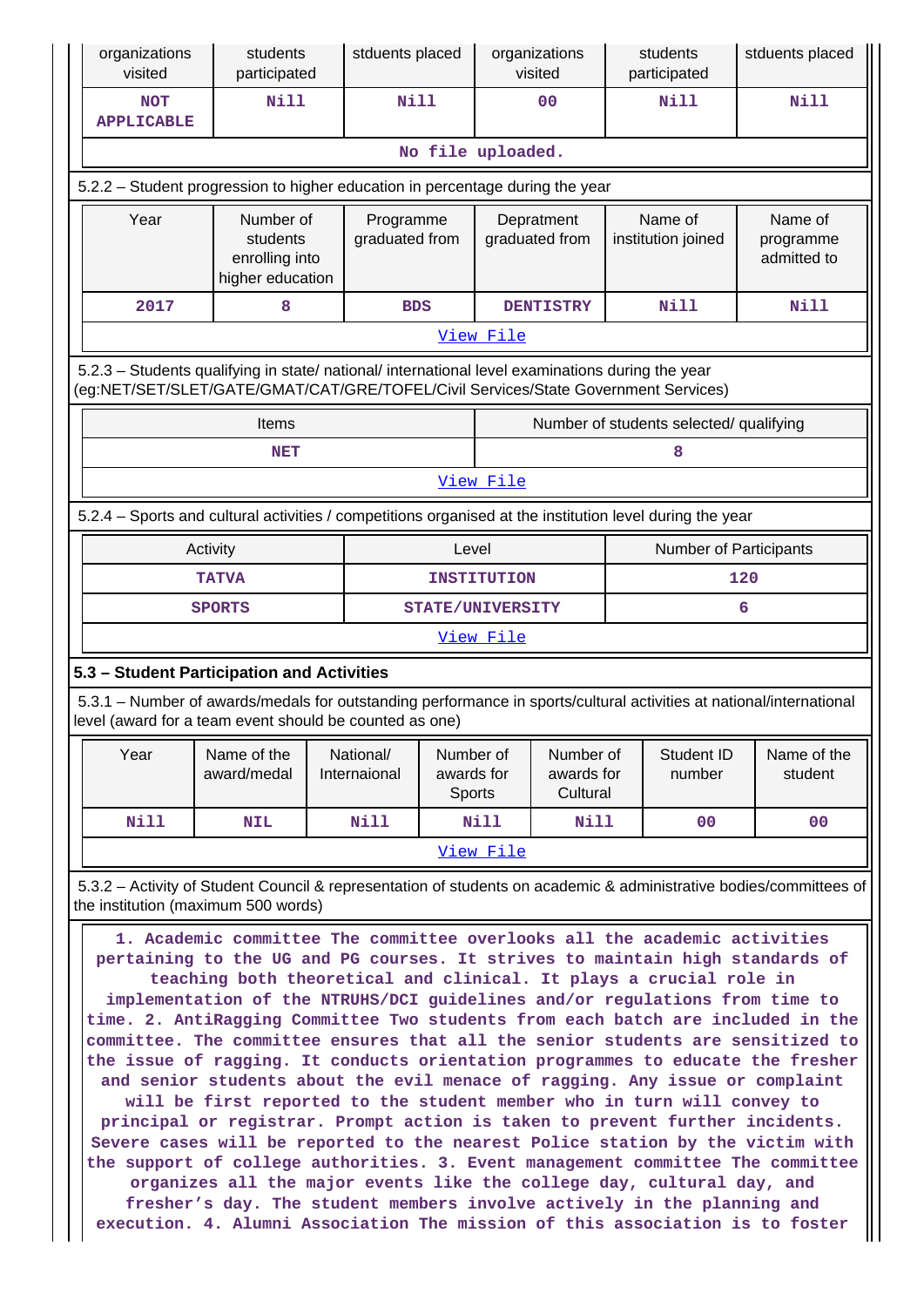| organizations<br>visited                                           | students<br>participated                                    |                             | stduents placed<br>students<br>stduents placed<br>organizations<br>visited<br>participated |                                                                                                                                                                                        |                                         |                                        |                                     |  |  |  |  |  |
|--------------------------------------------------------------------|-------------------------------------------------------------|-----------------------------|--------------------------------------------------------------------------------------------|----------------------------------------------------------------------------------------------------------------------------------------------------------------------------------------|-----------------------------------------|----------------------------------------|-------------------------------------|--|--|--|--|--|
| <b>NOT</b><br><b>APPLICABLE</b>                                    | Nill                                                        | Nill                        |                                                                                            | 00                                                                                                                                                                                     | Nill                                    |                                        | <b>Nill</b>                         |  |  |  |  |  |
|                                                                    |                                                             |                             |                                                                                            | No file uploaded.                                                                                                                                                                      |                                         |                                        |                                     |  |  |  |  |  |
|                                                                    |                                                             |                             |                                                                                            | 5.2.2 - Student progression to higher education in percentage during the year                                                                                                          |                                         |                                        |                                     |  |  |  |  |  |
| Year                                                               | Number of<br>students<br>enrolling into<br>higher education | Programme<br>graduated from |                                                                                            | Depratment<br>graduated from                                                                                                                                                           | Name of<br>institution joined           |                                        | Name of<br>programme<br>admitted to |  |  |  |  |  |
| <b>Nill</b><br>8<br>Nill<br>2017<br><b>DENTISTRY</b><br><b>BDS</b> |                                                             |                             |                                                                                            |                                                                                                                                                                                        |                                         |                                        |                                     |  |  |  |  |  |
|                                                                    |                                                             |                             |                                                                                            | View File                                                                                                                                                                              |                                         |                                        |                                     |  |  |  |  |  |
|                                                                    |                                                             |                             |                                                                                            | 5.2.3 - Students qualifying in state/ national/ international level examinations during the year<br>(eg:NET/SET/SLET/GATE/GMAT/CAT/GRE/TOFEL/Civil Services/State Government Services) |                                         |                                        |                                     |  |  |  |  |  |
|                                                                    | Items                                                       |                             |                                                                                            |                                                                                                                                                                                        | Number of students selected/ qualifying |                                        |                                     |  |  |  |  |  |
|                                                                    | <b>NET</b>                                                  |                             |                                                                                            |                                                                                                                                                                                        | 8                                       |                                        |                                     |  |  |  |  |  |
|                                                                    |                                                             |                             |                                                                                            | View File                                                                                                                                                                              |                                         |                                        |                                     |  |  |  |  |  |
|                                                                    |                                                             |                             |                                                                                            | 5.2.4 - Sports and cultural activities / competitions organised at the institution level during the year                                                                               |                                         |                                        |                                     |  |  |  |  |  |
|                                                                    | Activity                                                    |                             | Level                                                                                      |                                                                                                                                                                                        |                                         |                                        | <b>Number of Participants</b>       |  |  |  |  |  |
|                                                                    |                                                             |                             | <b>INSTITUTION</b>                                                                         |                                                                                                                                                                                        |                                         | 120                                    |                                     |  |  |  |  |  |
|                                                                    | <b>TATVA</b>                                                |                             |                                                                                            |                                                                                                                                                                                        |                                         | 6<br><b>SPORTS</b><br>STATE/UNIVERSITY |                                     |  |  |  |  |  |
|                                                                    |                                                             |                             |                                                                                            |                                                                                                                                                                                        |                                         |                                        |                                     |  |  |  |  |  |
|                                                                    |                                                             |                             |                                                                                            | View File                                                                                                                                                                              |                                         |                                        |                                     |  |  |  |  |  |
|                                                                    | 5.3 - Student Participation and Activities                  |                             |                                                                                            |                                                                                                                                                                                        |                                         |                                        |                                     |  |  |  |  |  |
|                                                                    | level (award for a team event should be counted as one)     |                             |                                                                                            | 5.3.1 – Number of awards/medals for outstanding performance in sports/cultural activities at national/international                                                                    |                                         |                                        |                                     |  |  |  |  |  |
| Year                                                               | Name of the<br>award/medal                                  | National/<br>Internaional   | Number of<br>awards for<br><b>Sports</b>                                                   | Number of<br>awards for<br>Cultural                                                                                                                                                    | Student ID<br>number                    |                                        | Name of the<br>student              |  |  |  |  |  |
| Nill                                                               | <b>NIL</b>                                                  | <b>Nill</b>                 |                                                                                            | Nill<br>Nill                                                                                                                                                                           | 0 <sup>0</sup>                          |                                        | 0 <sub>0</sub>                      |  |  |  |  |  |
|                                                                    |                                                             |                             |                                                                                            | View File                                                                                                                                                                              |                                         |                                        |                                     |  |  |  |  |  |
|                                                                    | the institution (maximum 500 words)                         |                             |                                                                                            | 5.3.2 – Activity of Student Council & representation of students on academic & administrative bodies/committees of                                                                     |                                         |                                        |                                     |  |  |  |  |  |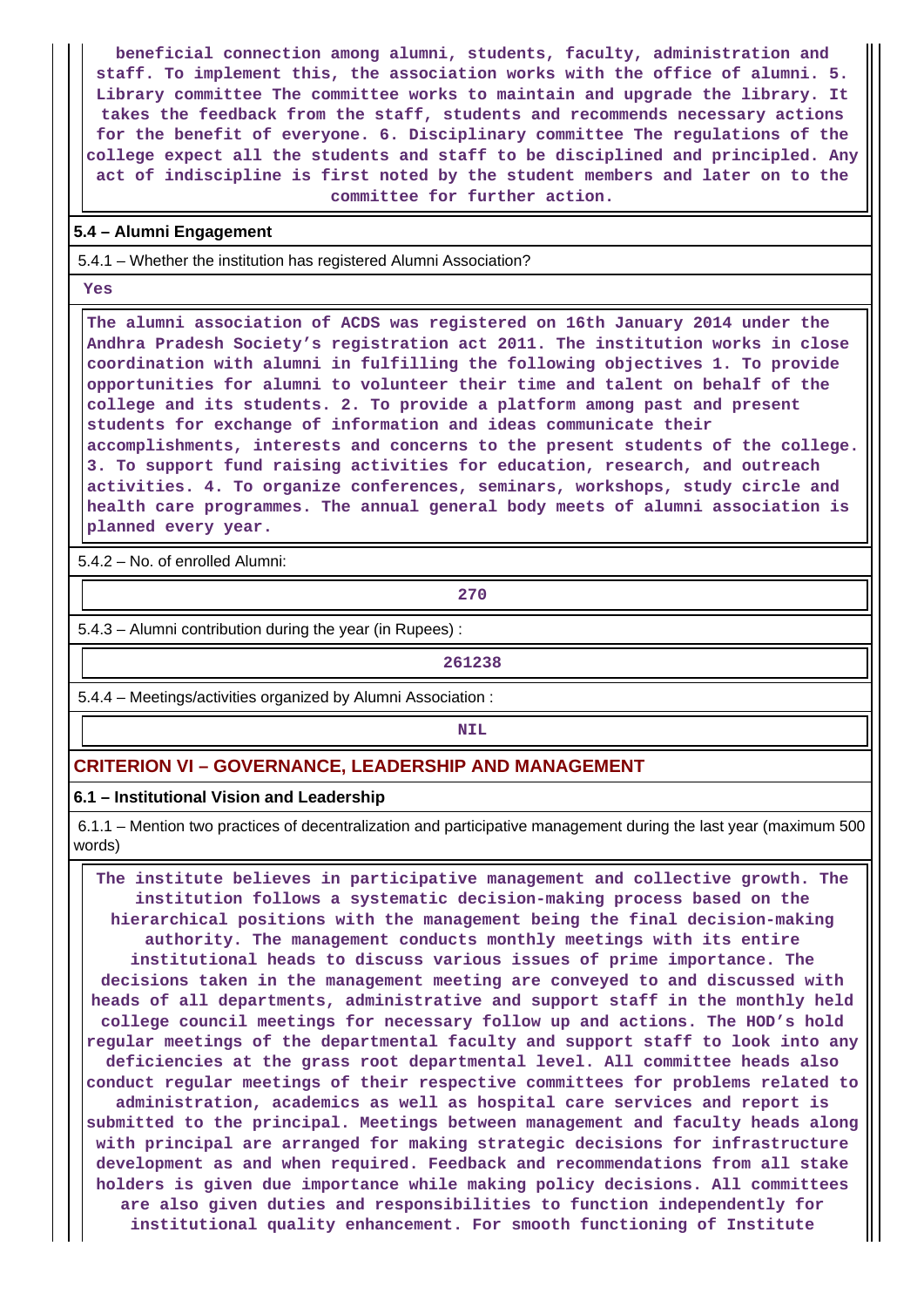**beneficial connection among alumni, students, faculty, administration and staff. To implement this, the association works with the office of alumni. 5. Library committee The committee works to maintain and upgrade the library. It takes the feedback from the staff, students and recommends necessary actions for the benefit of everyone. 6. Disciplinary committee The regulations of the college expect all the students and staff to be disciplined and principled. Any act of indiscipline is first noted by the student members and later on to the committee for further action.**

## **5.4 – Alumni Engagement**

5.4.1 – Whether the institution has registered Alumni Association?

 **Yes**

 **The alumni association of ACDS was registered on 16th January 2014 under the Andhra Pradesh Society's registration act 2011. The institution works in close coordination with alumni in fulfilling the following objectives 1. To provide opportunities for alumni to volunteer their time and talent on behalf of the college and its students. 2. To provide a platform among past and present students for exchange of information and ideas communicate their accomplishments, interests and concerns to the present students of the college. 3. To support fund raising activities for education, research, and outreach activities. 4. To organize conferences, seminars, workshops, study circle and health care programmes. The annual general body meets of alumni association is planned every year.**

5.4.2 – No. of enrolled Alumni:

**270**

5.4.3 – Alumni contribution during the year (in Rupees) :

**261238**

5.4.4 – Meetings/activities organized by Alumni Association :

**NIL** 

#### **CRITERION VI – GOVERNANCE, LEADERSHIP AND MANAGEMENT**

#### **6.1 – Institutional Vision and Leadership**

 6.1.1 – Mention two practices of decentralization and participative management during the last year (maximum 500 words)

 **The institute believes in participative management and collective growth. The institution follows a systematic decision-making process based on the hierarchical positions with the management being the final decision-making authority. The management conducts monthly meetings with its entire institutional heads to discuss various issues of prime importance. The decisions taken in the management meeting are conveyed to and discussed with heads of all departments, administrative and support staff in the monthly held college council meetings for necessary follow up and actions. The HOD's hold regular meetings of the departmental faculty and support staff to look into any deficiencies at the grass root departmental level. All committee heads also conduct regular meetings of their respective committees for problems related to administration, academics as well as hospital care services and report is submitted to the principal. Meetings between management and faculty heads along with principal are arranged for making strategic decisions for infrastructure development as and when required. Feedback and recommendations from all stake holders is given due importance while making policy decisions. All committees are also given duties and responsibilities to function independently for institutional quality enhancement. For smooth functioning of Institute**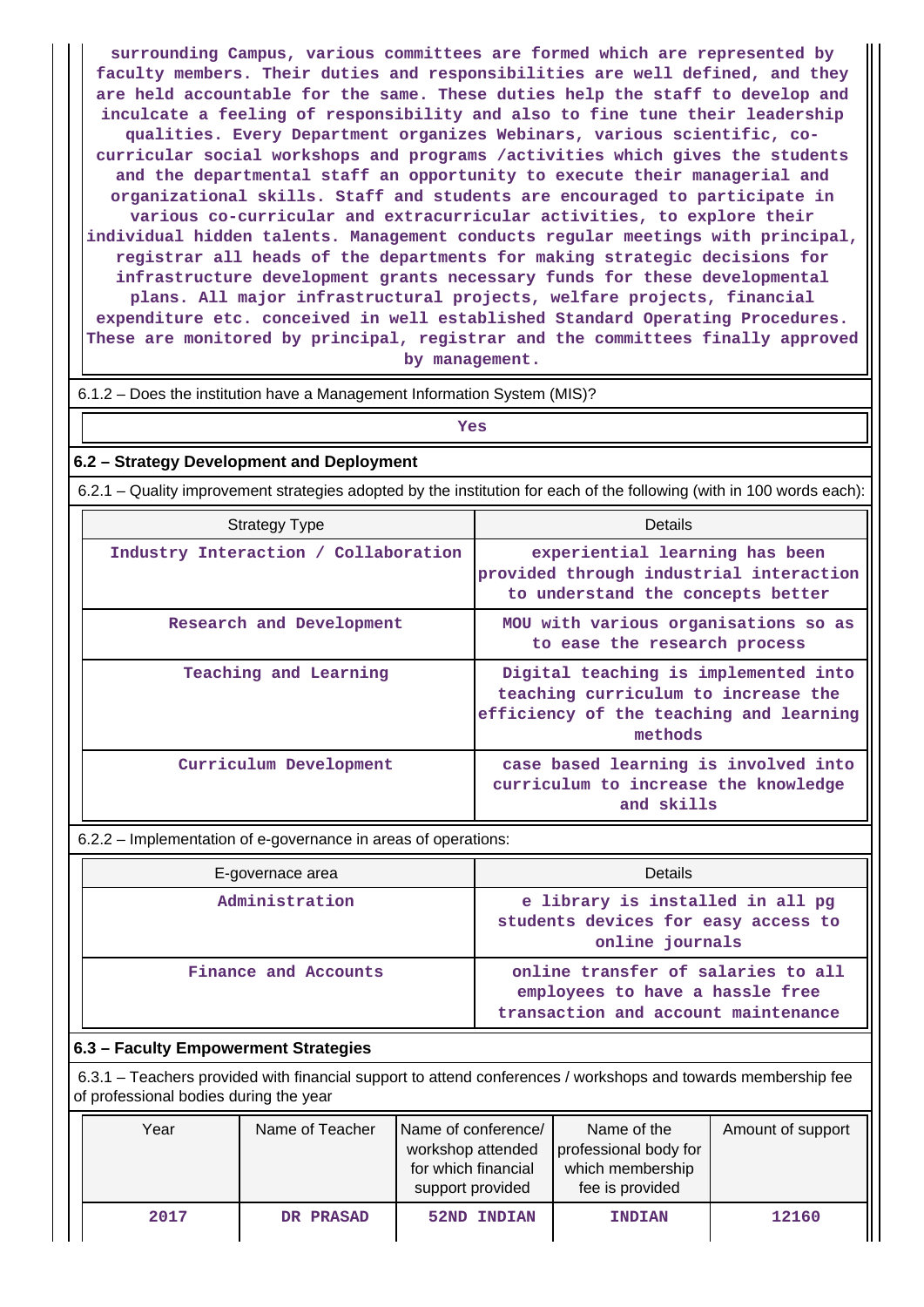**surrounding Campus, various committees are formed which are represented by faculty members. Their duties and responsibilities are well defined, and they are held accountable for the same. These duties help the staff to develop and inculcate a feeling of responsibility and also to fine tune their leadership qualities. Every Department organizes Webinars, various scientific, cocurricular social workshops and programs /activities which gives the students and the departmental staff an opportunity to execute their managerial and organizational skills. Staff and students are encouraged to participate in various co-curricular and extracurricular activities, to explore their individual hidden talents. Management conducts regular meetings with principal, registrar all heads of the departments for making strategic decisions for infrastructure development grants necessary funds for these developmental plans. All major infrastructural projects, welfare projects, financial expenditure etc. conceived in well established Standard Operating Procedures. These are monitored by principal, registrar and the committees finally approved by management.**

| 6.1.2 - Does the institution have a Management Information System (MIS)? |  |  |
|--------------------------------------------------------------------------|--|--|
|--------------------------------------------------------------------------|--|--|

*Yes* 

## **6.2 – Strategy Development and Deployment**

6.2.1 – Quality improvement strategies adopted by the institution for each of the following (with in 100 words each):

| <b>Strategy Type</b>                 | Details                                                                                                                           |
|--------------------------------------|-----------------------------------------------------------------------------------------------------------------------------------|
| Industry Interaction / Collaboration | experiential learning has been<br>provided through industrial interaction<br>to understand the concepts better                    |
| Research and Development             | MOU with various organisations so as<br>to ease the research process                                                              |
| Teaching and Learning                | Digital teaching is implemented into<br>teaching curriculum to increase the<br>efficiency of the teaching and learning<br>methods |
| Curriculum Development               | case based learning is involved into<br>curriculum to increase the knowledge<br>and skills                                        |

6.2.2 – Implementation of e-governance in areas of operations:

| E-governace area     | <b>Details</b>                                                                                               |  |  |  |
|----------------------|--------------------------------------------------------------------------------------------------------------|--|--|--|
| Administration       | e library is installed in all pg<br>students devices for easy access to<br>online journals                   |  |  |  |
| Finance and Accounts | online transfer of salaries to all<br>employees to have a hassle free<br>transaction and account maintenance |  |  |  |

#### **6.3 – Faculty Empowerment Strategies**

 6.3.1 – Teachers provided with financial support to attend conferences / workshops and towards membership fee of professional bodies during the year

| Year | Name of Teacher | Name of conference/<br>professional body for<br>workshop attended<br>for which financial<br>which membership<br>fee is provided<br>support provided |               | Amount of support |
|------|-----------------|-----------------------------------------------------------------------------------------------------------------------------------------------------|---------------|-------------------|
| 2017 | DR PRASAD       | <b>52ND INDIAN</b>                                                                                                                                  | <b>INDIAN</b> | 12160             |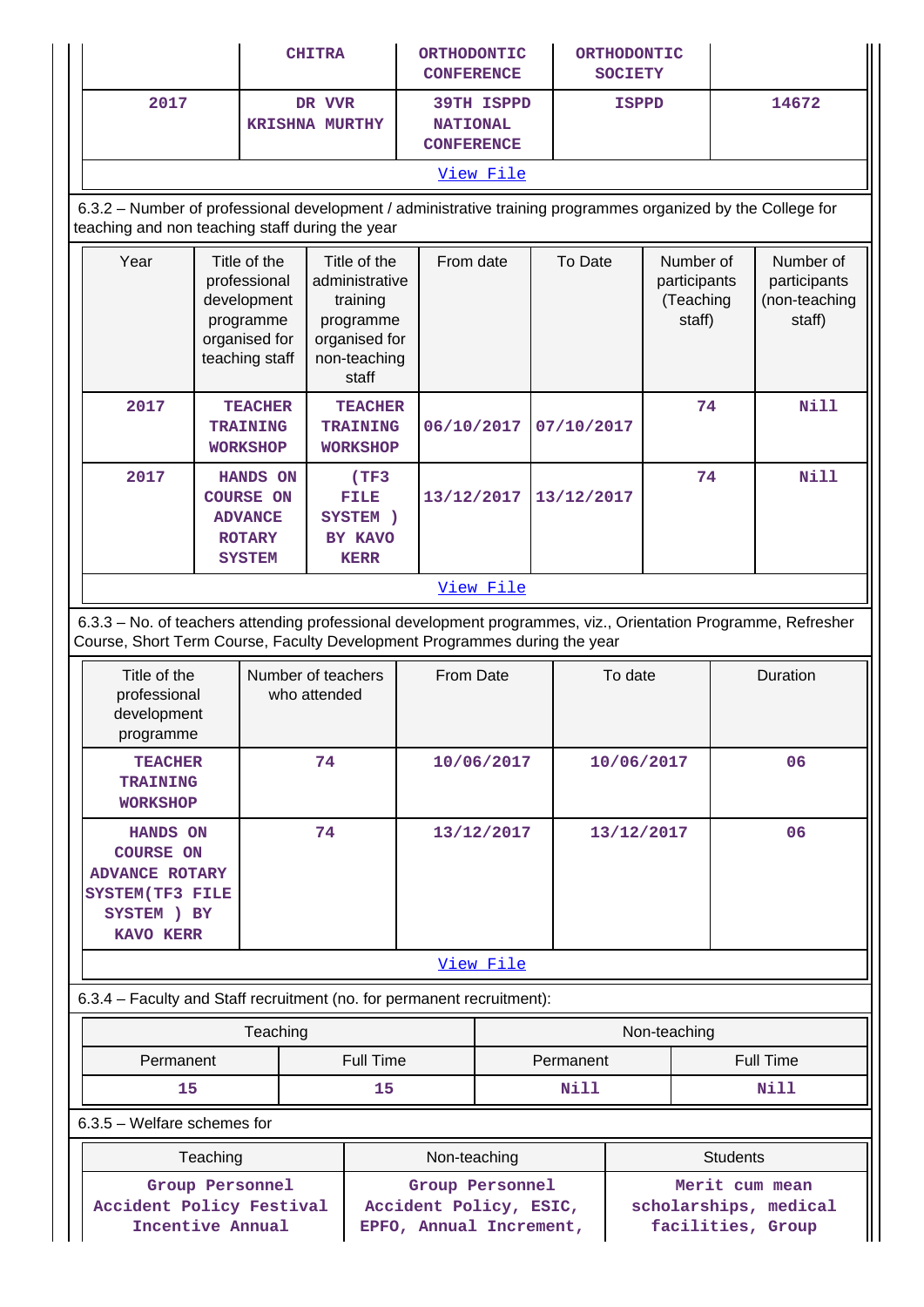|                                                                                                                                                                                            |                                                                                                                                                                 | <b>CHITRA</b>                                                                               |                                    |                                                                                                   | <b>ORTHODONTIC</b><br><b>CONFERENCE</b>                                                                                              |                                                           | ORTHODONTIC<br><b>SOCIETY</b> |            |                                                  |                                                      |                  |  |
|--------------------------------------------------------------------------------------------------------------------------------------------------------------------------------------------|-----------------------------------------------------------------------------------------------------------------------------------------------------------------|---------------------------------------------------------------------------------------------|------------------------------------|---------------------------------------------------------------------------------------------------|--------------------------------------------------------------------------------------------------------------------------------------|-----------------------------------------------------------|-------------------------------|------------|--------------------------------------------------|------------------------------------------------------|------------------|--|
| 2017                                                                                                                                                                                       |                                                                                                                                                                 | DR VVR<br><b>KRISHNA MURTHY</b>                                                             |                                    |                                                                                                   |                                                                                                                                      | <b>39TH ISPPD</b><br><b>NATIONAL</b><br><b>CONFERENCE</b> |                               |            | <b>ISPPD</b>                                     |                                                      | 14672            |  |
|                                                                                                                                                                                            |                                                                                                                                                                 |                                                                                             |                                    |                                                                                                   |                                                                                                                                      | View File                                                 |                               |            |                                                  |                                                      |                  |  |
|                                                                                                                                                                                            | 6.3.2 - Number of professional development / administrative training programmes organized by the College for<br>teaching and non teaching staff during the year |                                                                                             |                                    |                                                                                                   |                                                                                                                                      |                                                           |                               |            |                                                  |                                                      |                  |  |
| Year                                                                                                                                                                                       |                                                                                                                                                                 | Title of the<br>professional<br>development<br>programme<br>organised for<br>teaching staff |                                    | Title of the<br>administrative<br>training<br>programme<br>organised for<br>non-teaching<br>staff | From date                                                                                                                            |                                                           | To Date                       |            | Number of<br>participants<br>(Teaching<br>staff) | Number of<br>participants<br>(non-teaching<br>staff) |                  |  |
| 2017                                                                                                                                                                                       |                                                                                                                                                                 | <b>TEACHER</b><br><b>TRAINING</b><br><b>WORKSHOP</b>                                        | <b>TRAINING</b><br><b>WORKSHOP</b> | <b>TEACHER</b>                                                                                    | 06/10/2017                                                                                                                           |                                                           |                               | 07/10/2017 |                                                  | 74                                                   | <b>Nill</b>      |  |
| 2017                                                                                                                                                                                       |                                                                                                                                                                 | HANDS ON<br><b>COURSE ON</b><br><b>ADVANCE</b><br><b>ROTARY</b><br><b>SYSTEM</b>            |                                    | (TF <sub>3</sub> )<br>FILE<br>SYSTEM )<br>BY KAVO<br><b>KERR</b>                                  | 13/12/2017                                                                                                                           |                                                           |                               | 13/12/2017 |                                                  | 74                                                   | Nill             |  |
|                                                                                                                                                                                            | View File                                                                                                                                                       |                                                                                             |                                    |                                                                                                   |                                                                                                                                      |                                                           |                               |            |                                                  |                                                      |                  |  |
| 6.3.3 - No. of teachers attending professional development programmes, viz., Orientation Programme, Refresher<br>Course, Short Term Course, Faculty Development Programmes during the year |                                                                                                                                                                 |                                                                                             |                                    |                                                                                                   |                                                                                                                                      |                                                           |                               |            |                                                  |                                                      |                  |  |
| Title of the<br>professional<br>development<br>programme                                                                                                                                   |                                                                                                                                                                 | Number of teachers                                                                          | who attended                       | From Date                                                                                         |                                                                                                                                      |                                                           |                               | To date    |                                                  | Duration                                             |                  |  |
| <b>TEACHER</b><br><b>TRAINING</b><br><b>WORKSHOP</b>                                                                                                                                       |                                                                                                                                                                 |                                                                                             | 74                                 |                                                                                                   | 10/06/2017                                                                                                                           |                                                           | 10/06/2017                    |            |                                                  | 06                                                   |                  |  |
|                                                                                                                                                                                            | 74<br><b>HANDS ON</b><br><b>COURSE ON</b><br><b>ADVANCE ROTARY</b><br>SYSTEM(TF3 FILE<br>SYSTEM ) BY<br><b>KAVO KERR</b>                                        |                                                                                             |                                    | 13/12/2017                                                                                        |                                                                                                                                      | 13/12/2017                                                |                               | 06         |                                                  |                                                      |                  |  |
|                                                                                                                                                                                            |                                                                                                                                                                 |                                                                                             |                                    |                                                                                                   |                                                                                                                                      | <u>View File</u>                                          |                               |            |                                                  |                                                      |                  |  |
| 6.3.4 - Faculty and Staff recruitment (no. for permanent recruitment):                                                                                                                     |                                                                                                                                                                 |                                                                                             |                                    |                                                                                                   |                                                                                                                                      |                                                           |                               |            |                                                  |                                                      |                  |  |
|                                                                                                                                                                                            |                                                                                                                                                                 | Teaching                                                                                    |                                    |                                                                                                   |                                                                                                                                      |                                                           |                               |            | Non-teaching                                     |                                                      |                  |  |
|                                                                                                                                                                                            | Full Time<br>Permanent                                                                                                                                          |                                                                                             |                                    |                                                                                                   |                                                                                                                                      |                                                           |                               | Permanent  |                                                  |                                                      | <b>Full Time</b> |  |
| 15                                                                                                                                                                                         |                                                                                                                                                                 |                                                                                             |                                    | 15                                                                                                |                                                                                                                                      |                                                           |                               | Nill       |                                                  |                                                      | Nill             |  |
| $6.3.5$ – Welfare schemes for                                                                                                                                                              |                                                                                                                                                                 |                                                                                             |                                    |                                                                                                   |                                                                                                                                      |                                                           |                               |            |                                                  |                                                      |                  |  |
|                                                                                                                                                                                            | Teaching                                                                                                                                                        |                                                                                             |                                    |                                                                                                   | Non-teaching                                                                                                                         |                                                           |                               |            |                                                  | <b>Students</b>                                      |                  |  |
| Group Personnel<br>Accident Policy Festival<br>Incentive Annual                                                                                                                            |                                                                                                                                                                 |                                                                                             |                                    |                                                                                                   | Group Personnel<br>Merit cum mean<br>Accident Policy, ESIC,<br>scholarships, medical<br>EPFO, Annual Increment,<br>facilities, Group |                                                           |                               |            |                                                  |                                                      |                  |  |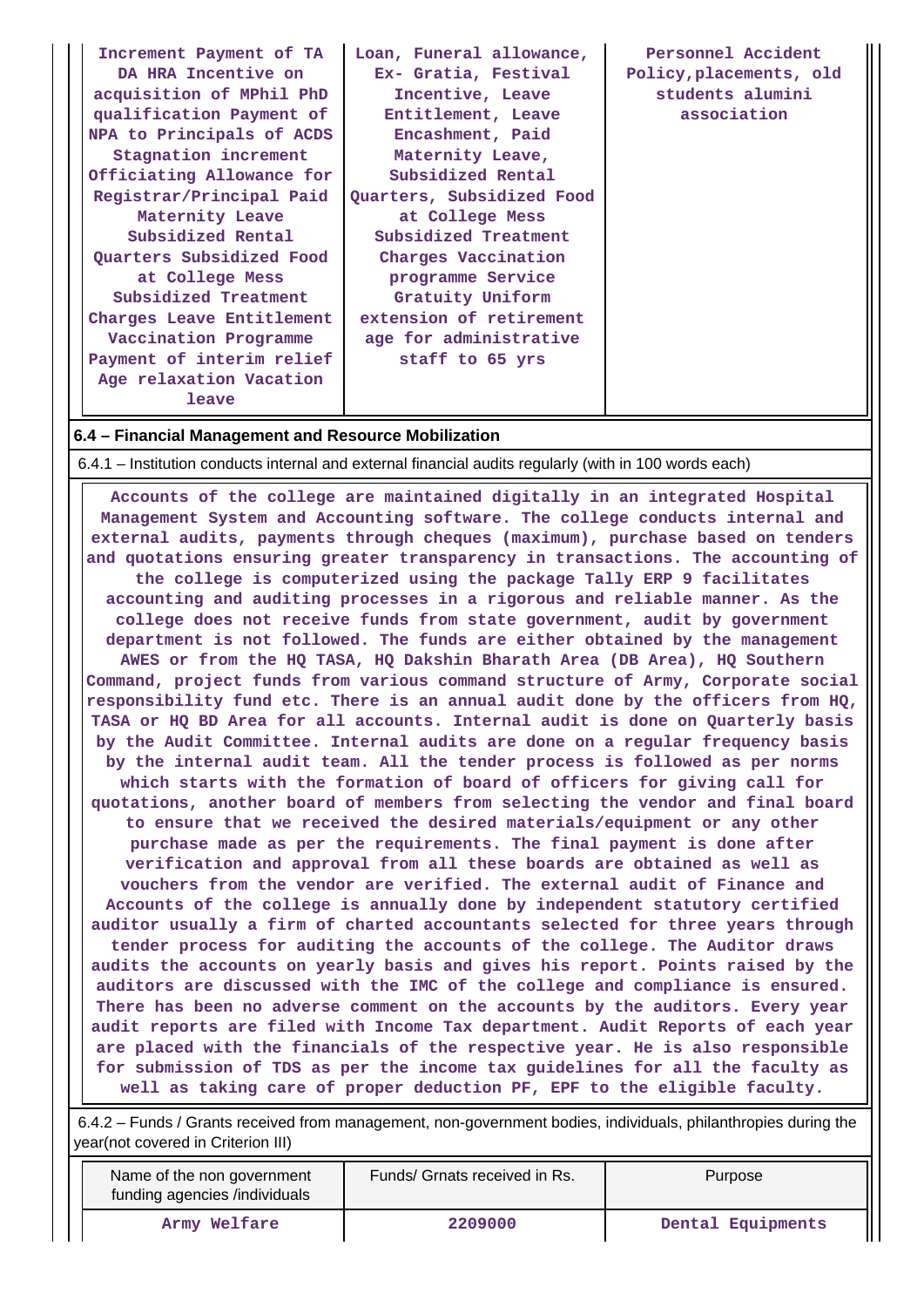| Increment Payment of TA<br>DA HRA Incentive on<br>acquisition of MPhil PhD<br>qualification Payment of<br>NPA to Principals of ACDS<br>Stagnation increment<br>Officiating Allowance for<br>Registrar/Principal Paid<br>Maternity Leave<br>Subsidized Rental<br>Quarters Subsidized Food<br>at College Mess<br>Subsidized Treatment<br>Charges Leave Entitlement<br>Vaccination Programme<br>Payment of interim relief<br>Age relaxation Vacation<br>leave | Loan, Funeral allowance,<br>Ex- Gratia, Festival<br>Incentive, Leave<br>Entitlement, Leave<br>Encashment, Paid<br>Maternity Leave,<br>Subsidized Rental<br>Quarters, Subsidized Food<br>at College Mess<br>Subsidized Treatment<br>Charges Vaccination<br>programme Service<br>Gratuity Uniform<br>extension of retirement<br>age for administrative<br>staff to 65 yrs | Personnel Accident<br>Policy, placements, old<br>students alumini<br>association |
|------------------------------------------------------------------------------------------------------------------------------------------------------------------------------------------------------------------------------------------------------------------------------------------------------------------------------------------------------------------------------------------------------------------------------------------------------------|-------------------------------------------------------------------------------------------------------------------------------------------------------------------------------------------------------------------------------------------------------------------------------------------------------------------------------------------------------------------------|----------------------------------------------------------------------------------|
|------------------------------------------------------------------------------------------------------------------------------------------------------------------------------------------------------------------------------------------------------------------------------------------------------------------------------------------------------------------------------------------------------------------------------------------------------------|-------------------------------------------------------------------------------------------------------------------------------------------------------------------------------------------------------------------------------------------------------------------------------------------------------------------------------------------------------------------------|----------------------------------------------------------------------------------|

## **6.4 – Financial Management and Resource Mobilization**

6.4.1 – Institution conducts internal and external financial audits regularly (with in 100 words each)

 **Accounts of the college are maintained digitally in an integrated Hospital Management System and Accounting software. The college conducts internal and external audits, payments through cheques (maximum), purchase based on tenders and quotations ensuring greater transparency in transactions. The accounting of the college is computerized using the package Tally ERP 9 facilitates accounting and auditing processes in a rigorous and reliable manner. As the college does not receive funds from state government, audit by government department is not followed. The funds are either obtained by the management AWES or from the HQ TASA, HQ Dakshin Bharath Area (DB Area), HQ Southern Command, project funds from various command structure of Army, Corporate social responsibility fund etc. There is an annual audit done by the officers from HQ, TASA or HQ BD Area for all accounts. Internal audit is done on Quarterly basis by the Audit Committee. Internal audits are done on a regular frequency basis by the internal audit team. All the tender process is followed as per norms which starts with the formation of board of officers for giving call for quotations, another board of members from selecting the vendor and final board to ensure that we received the desired materials/equipment or any other purchase made as per the requirements. The final payment is done after verification and approval from all these boards are obtained as well as vouchers from the vendor are verified. The external audit of Finance and Accounts of the college is annually done by independent statutory certified auditor usually a firm of charted accountants selected for three years through tender process for auditing the accounts of the college. The Auditor draws audits the accounts on yearly basis and gives his report. Points raised by the auditors are discussed with the IMC of the college and compliance is ensured. There has been no adverse comment on the accounts by the auditors. Every year audit reports are filed with Income Tax department. Audit Reports of each year are placed with the financials of the respective year. He is also responsible for submission of TDS as per the income tax guidelines for all the faculty as well as taking care of proper deduction PF, EPF to the eligible faculty.**

 6.4.2 – Funds / Grants received from management, non-government bodies, individuals, philanthropies during the year(not covered in Criterion III)

| Name of the non government<br>funding agencies /individuals | Funds/ Grnats received in Rs. | Purpose           |
|-------------------------------------------------------------|-------------------------------|-------------------|
| Army Welfare                                                | 2209000                       | Dental Equipments |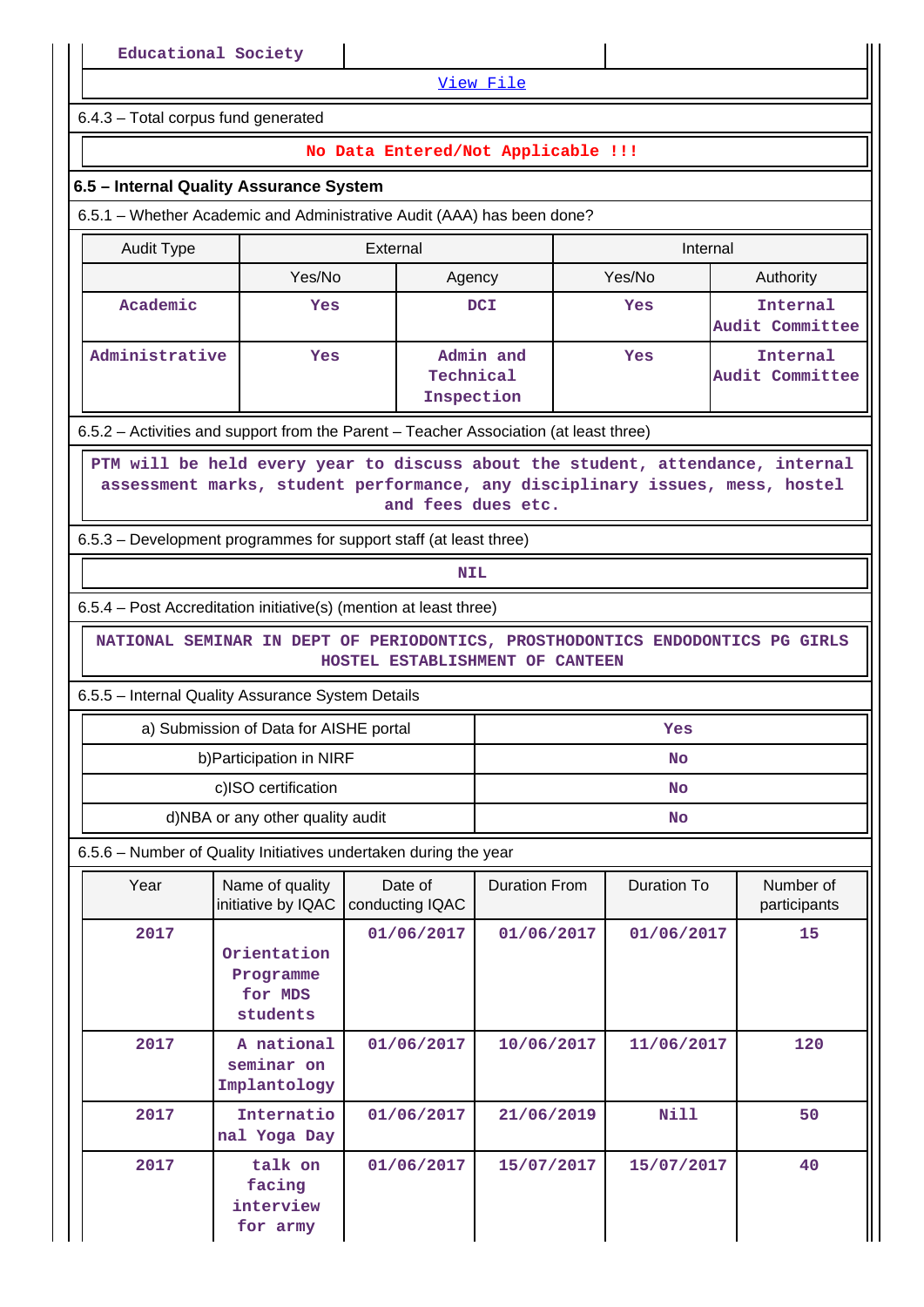[View File](https://assessmentonline.naac.gov.in/public/Postacc/Funds_or_Grants/19557_Funds_or_Grants_1645854391.xlsx)

6.4.3 – Total corpus fund generated

## **No Data Entered/Not Applicable !!!**

#### **6.5 – Internal Quality Assurance System**

6.5.1 – Whether Academic and Administrative Audit (AAA) has been done?

| Audit Type     | External                 |                                      | Internal |                             |     |                             |
|----------------|--------------------------|--------------------------------------|----------|-----------------------------|-----|-----------------------------|
|                | Yes/No<br>Agency         |                                      | Yes/No   | Authority                   |     |                             |
| Academic       | <b>DCI</b><br><b>Yes</b> |                                      |          |                             | Yes | Internal<br>Audit Committee |
| Administrative | Yes                      | Admin and<br>Technical<br>Inspection | Yes      | Internal<br>Audit Committee |     |                             |

6.5.2 – Activities and support from the Parent – Teacher Association (at least three)

 **PTM will be held every year to discuss about the student, attendance, internal assessment marks, student performance, any disciplinary issues, mess, hostel and fees dues etc.**

6.5.3 – Development programmes for support staff (at least three)

**NIL** 

6.5.4 – Post Accreditation initiative(s) (mention at least three)

 **NATIONAL SEMINAR IN DEPT OF PERIODONTICS, PROSTHODONTICS ENDODONTICS PG GIRLS HOSTEL ESTABLISHMENT OF CANTEEN**

6.5.5 – Internal Quality Assurance System Details

| a) Submission of Data for AISHE portal | Yes |
|----------------------------------------|-----|
| b) Participation in NIRF               | No  |
| c)ISO certification                    | No  |
| d)NBA or any other quality audit       | No  |

6.5.6 – Number of Quality Initiatives undertaken during the year

| Year | Name of quality<br>initiative by IQAC           | Date of<br>conducting IQAC | Duration From | Duration To | Number of<br>participants |
|------|-------------------------------------------------|----------------------------|---------------|-------------|---------------------------|
| 2017 | Orientation<br>Programme<br>for MDS<br>students | 01/06/2017                 | 01/06/2017    | 01/06/2017  | 15                        |
| 2017 | A national<br>seminar on<br>Implantology        | 01/06/2017                 | 10/06/2017    | 11/06/2017  | 120                       |
| 2017 | Internatio<br>nal Yoga Day                      | 01/06/2017                 | 21/06/2019    | Nill        | 50                        |
| 2017 | talk on<br>facing<br>interview<br>for army      | 01/06/2017                 | 15/07/2017    | 15/07/2017  | 40                        |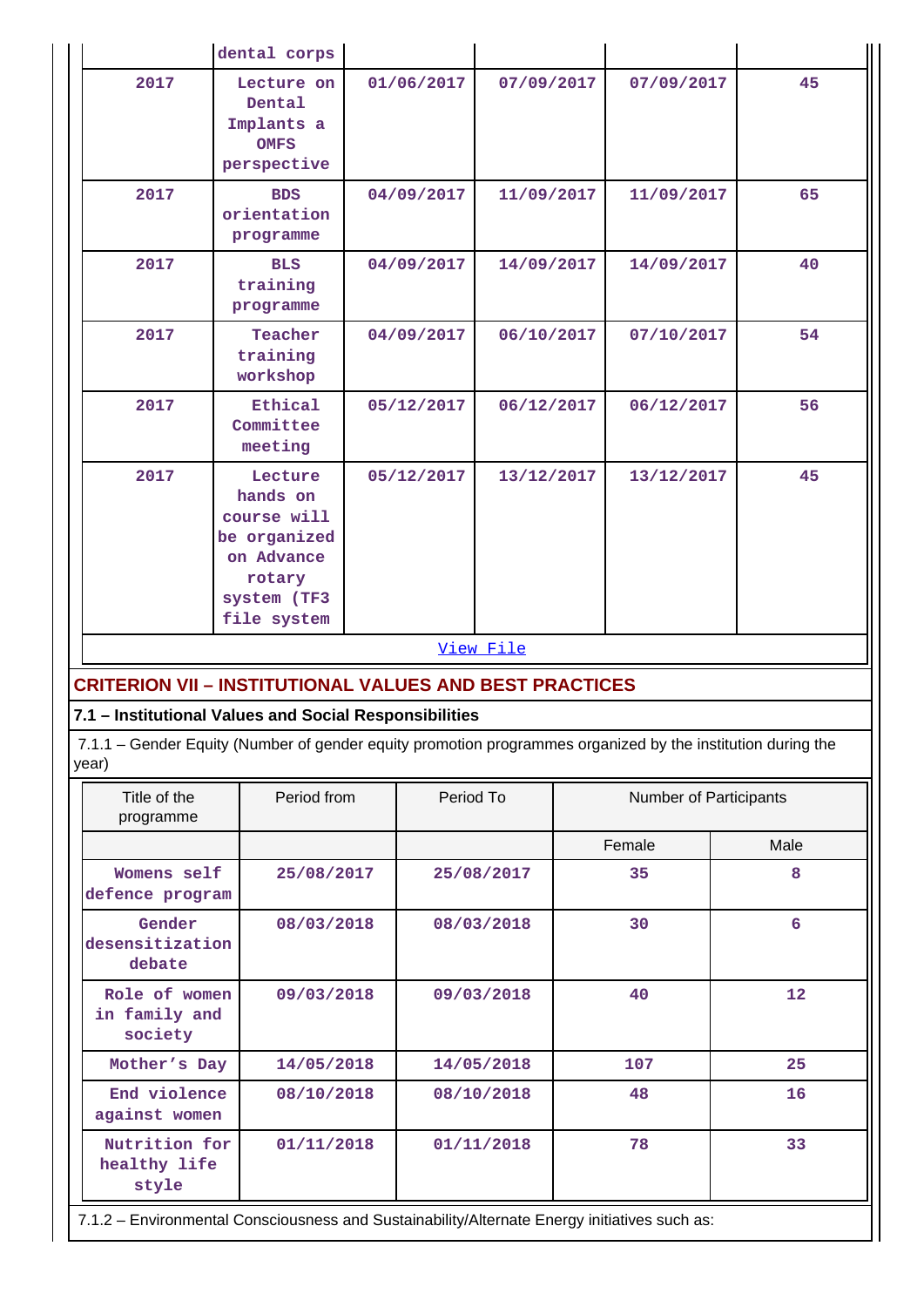|                                                                                                                                                                                | dental corps                                                                                               |                          |            |            |                        |      |
|--------------------------------------------------------------------------------------------------------------------------------------------------------------------------------|------------------------------------------------------------------------------------------------------------|--------------------------|------------|------------|------------------------|------|
| 2017                                                                                                                                                                           | Lecture on<br>Dental<br>Implants a<br><b>OMFS</b><br>perspective                                           | 01/06/2017<br>07/09/2017 |            | 07/09/2017 | 45                     |      |
| 2017                                                                                                                                                                           | <b>BDS</b><br>orientation<br>programme                                                                     | 04/09/2017               |            | 11/09/2017 | 11/09/2017             | 65   |
| 2017                                                                                                                                                                           | <b>BLS</b><br>training<br>programme                                                                        | 04/09/2017               |            | 14/09/2017 | 14/09/2017             | 40   |
| 2017                                                                                                                                                                           | Teacher<br>training<br>workshop                                                                            | 04/09/2017               |            | 06/10/2017 | 07/10/2017             | 54   |
| 2017                                                                                                                                                                           | Ethical<br>Committee<br>meeting                                                                            | 05/12/2017               |            | 06/12/2017 | 06/12/2017             | 56   |
| 2017                                                                                                                                                                           | Lecture<br>hands on<br>course will<br>be organized<br>on Advance<br>rotary<br>system (TF3<br>file system   | 05/12/2017               |            | 13/12/2017 | 13/12/2017             | 45   |
|                                                                                                                                                                                |                                                                                                            |                          | View File  |            |                        |      |
| <b>CRITERION VII - INSTITUTIONAL VALUES AND BEST PRACTICES</b>                                                                                                                 |                                                                                                            |                          |            |            |                        |      |
| 7.1 - Institutional Values and Social Responsibilities<br>7.1.1 - Gender Equity (Number of gender equity promotion programmes organized by the institution during the<br>year) |                                                                                                            |                          |            |            |                        |      |
| Title of the<br>programme                                                                                                                                                      | Period from                                                                                                |                          | Period To  |            | Number of Participants |      |
|                                                                                                                                                                                |                                                                                                            |                          |            |            | Female                 | Male |
| Womens self<br>defence program                                                                                                                                                 | 25/08/2017                                                                                                 |                          | 25/08/2017 |            | 35                     | 8    |
| debate                                                                                                                                                                         | Gender<br>08/03/2018<br>desensitization                                                                    |                          | 08/03/2018 |            | 30                     | 6    |
| society                                                                                                                                                                        | Role of women<br>09/03/2018<br>09/03/2018<br>in family and                                                 |                          |            | 40         | 12                     |      |
| Mother's Day<br>14/05/2018                                                                                                                                                     |                                                                                                            |                          | 14/05/2018 |            | 107                    | 25   |
|                                                                                                                                                                                | End violence<br>08/10/2018<br>against women                                                                |                          | 08/10/2018 |            | 48                     | 16   |
| Nutrition for<br>healthy life<br>style                                                                                                                                         | 01/11/2018<br>7.1.2 - Environmental Consciousness and Sustainability/Alternate Energy initiatives such as: |                          | 01/11/2018 |            | 78                     | 33   |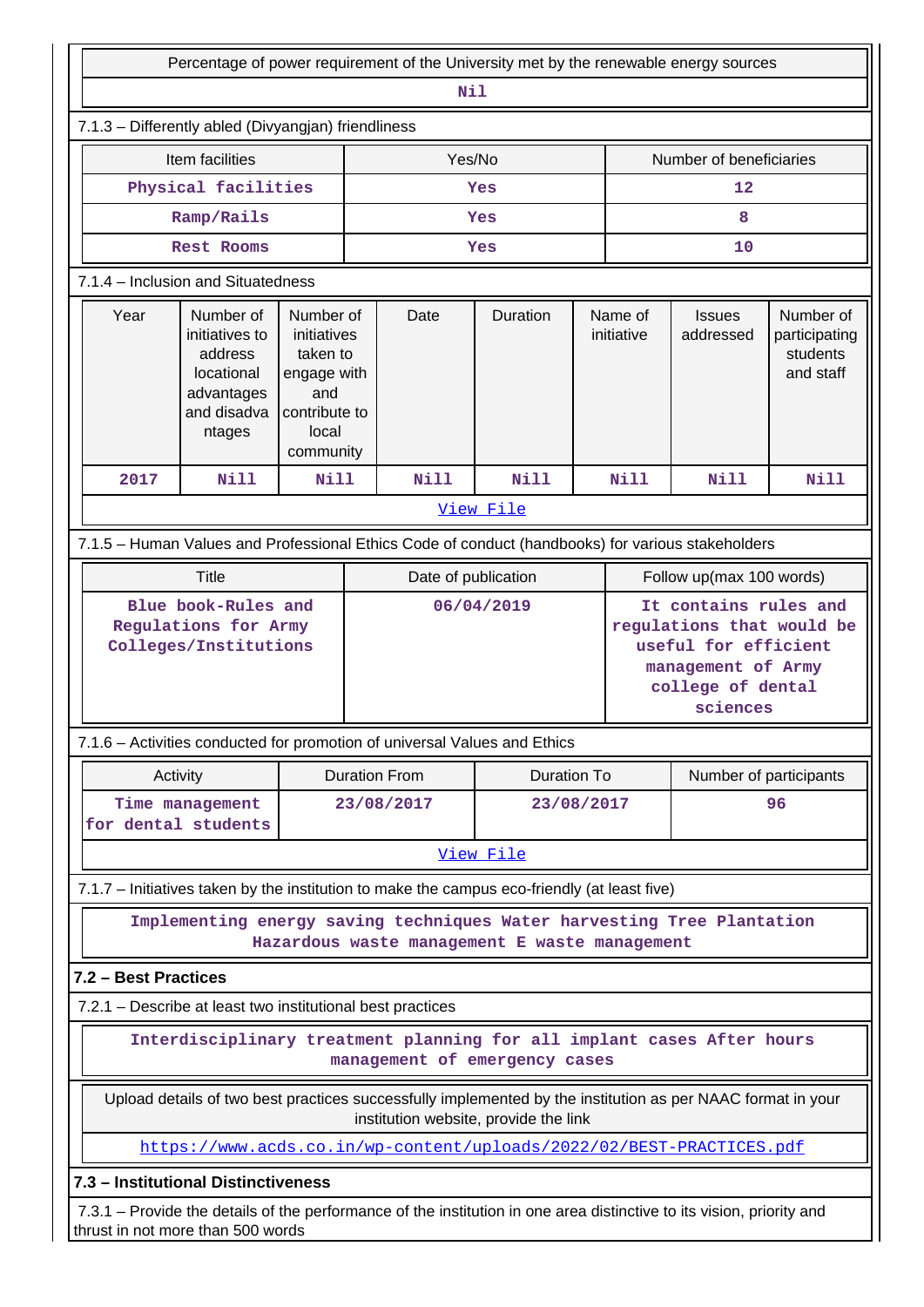|                                                                                                                                                                                                                                                                                                      | Percentage of power requirement of the University met by the renewable energy sources                                                                      |                                                                                                   |                  |                                               |                       |                            |                                                     |                          |             |
|------------------------------------------------------------------------------------------------------------------------------------------------------------------------------------------------------------------------------------------------------------------------------------------------------|------------------------------------------------------------------------------------------------------------------------------------------------------------|---------------------------------------------------------------------------------------------------|------------------|-----------------------------------------------|-----------------------|----------------------------|-----------------------------------------------------|--------------------------|-------------|
|                                                                                                                                                                                                                                                                                                      |                                                                                                                                                            |                                                                                                   |                  | Nil                                           |                       |                            |                                                     |                          |             |
|                                                                                                                                                                                                                                                                                                      | 7.1.3 - Differently abled (Divyangjan) friendliness                                                                                                        |                                                                                                   |                  |                                               |                       |                            |                                                     |                          |             |
|                                                                                                                                                                                                                                                                                                      | Item facilities                                                                                                                                            |                                                                                                   |                  | Yes/No                                        |                       |                            |                                                     | Number of beneficiaries  |             |
| Physical facilities                                                                                                                                                                                                                                                                                  |                                                                                                                                                            |                                                                                                   |                  |                                               | Yes                   |                            |                                                     | 12                       |             |
|                                                                                                                                                                                                                                                                                                      | Ramp/Rails                                                                                                                                                 |                                                                                                   |                  |                                               | Yes                   |                            |                                                     | 8                        |             |
|                                                                                                                                                                                                                                                                                                      | Rest Rooms                                                                                                                                                 |                                                                                                   |                  |                                               | Yes                   |                            |                                                     | 10                       |             |
|                                                                                                                                                                                                                                                                                                      | 7.1.4 - Inclusion and Situatedness                                                                                                                         |                                                                                                   |                  |                                               |                       |                            |                                                     |                          |             |
| Year                                                                                                                                                                                                                                                                                                 | Number of<br>initiatives to<br>address<br>locational<br>advantages<br>and disadva<br>ntages                                                                | Number of<br>initiatives<br>taken to<br>engage with<br>and<br>contribute to<br>local<br>community | Date<br>Duration |                                               | Name of<br>initiative | <b>Issues</b><br>addressed | Number of<br>participating<br>students<br>and staff |                          |             |
| 2017                                                                                                                                                                                                                                                                                                 | Nill                                                                                                                                                       | Nill                                                                                              |                  | <b>Nill</b>                                   | <b>Nill</b>           |                            | <b>Nill</b>                                         | <b>Nill</b>              | <b>Nill</b> |
|                                                                                                                                                                                                                                                                                                      |                                                                                                                                                            |                                                                                                   |                  |                                               | View File             |                            |                                                     |                          |             |
|                                                                                                                                                                                                                                                                                                      | 7.1.5 - Human Values and Professional Ethics Code of conduct (handbooks) for various stakeholders                                                          |                                                                                                   |                  |                                               |                       |                            |                                                     |                          |             |
|                                                                                                                                                                                                                                                                                                      | <b>Title</b>                                                                                                                                               |                                                                                                   |                  | Date of publication                           |                       |                            |                                                     | Follow up(max 100 words) |             |
| It contains rules and<br>Blue book-Rules and<br>06/04/2019<br>Regulations for Army<br>regulations that would be<br>Colleges/Institutions<br>useful for efficient<br>management of Army<br>college of dental<br>sciences<br>7.1.6 - Activities conducted for promotion of universal Values and Ethics |                                                                                                                                                            |                                                                                                   |                  |                                               |                       |                            |                                                     |                          |             |
|                                                                                                                                                                                                                                                                                                      | Activity                                                                                                                                                   |                                                                                                   |                  | <b>Duration From</b>                          | Duration To           |                            |                                                     | Number of participants   |             |
|                                                                                                                                                                                                                                                                                                      | Time management<br>for dental students                                                                                                                     |                                                                                                   |                  | 23/08/2017                                    | 23/08/2017            |                            | 96                                                  |                          |             |
|                                                                                                                                                                                                                                                                                                      |                                                                                                                                                            |                                                                                                   |                  |                                               | View File             |                            |                                                     |                          |             |
|                                                                                                                                                                                                                                                                                                      | 7.1.7 - Initiatives taken by the institution to make the campus eco-friendly (at least five)                                                               |                                                                                                   |                  |                                               |                       |                            |                                                     |                          |             |
|                                                                                                                                                                                                                                                                                                      | Implementing energy saving techniques Water harvesting Tree Plantation                                                                                     |                                                                                                   |                  | Hazardous waste management E waste management |                       |                            |                                                     |                          |             |
| 7.2 - Best Practices                                                                                                                                                                                                                                                                                 |                                                                                                                                                            |                                                                                                   |                  |                                               |                       |                            |                                                     |                          |             |
|                                                                                                                                                                                                                                                                                                      | 7.2.1 – Describe at least two institutional best practices                                                                                                 |                                                                                                   |                  |                                               |                       |                            |                                                     |                          |             |
| Interdisciplinary treatment planning for all implant cases After hours<br>management of emergency cases                                                                                                                                                                                              |                                                                                                                                                            |                                                                                                   |                  |                                               |                       |                            |                                                     |                          |             |
|                                                                                                                                                                                                                                                                                                      | Upload details of two best practices successfully implemented by the institution as per NAAC format in your<br>institution website, provide the link       |                                                                                                   |                  |                                               |                       |                            |                                                     |                          |             |
|                                                                                                                                                                                                                                                                                                      | https://www.acds.co.in/wp-content/uploads/2022/02/BEST-PRACTICES.pdf                                                                                       |                                                                                                   |                  |                                               |                       |                            |                                                     |                          |             |
|                                                                                                                                                                                                                                                                                                      | 7.3 - Institutional Distinctiveness                                                                                                                        |                                                                                                   |                  |                                               |                       |                            |                                                     |                          |             |
|                                                                                                                                                                                                                                                                                                      | 7.3.1 – Provide the details of the performance of the institution in one area distinctive to its vision, priority and<br>thrust in not more than 500 words |                                                                                                   |                  |                                               |                       |                            |                                                     |                          |             |